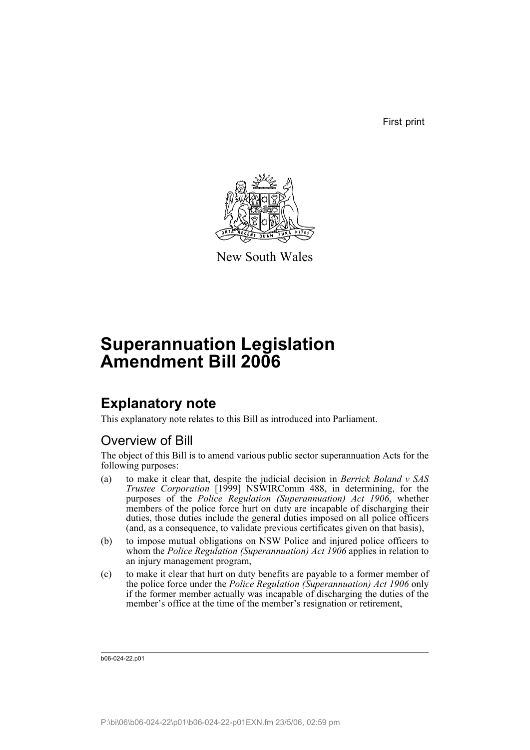First print



New South Wales

# **Superannuation Legislation Amendment Bill 2006**

## **Explanatory note**

This explanatory note relates to this Bill as introduced into Parliament.

## Overview of Bill

The object of this Bill is to amend various public sector superannuation Acts for the following purposes:

- (a) to make it clear that, despite the judicial decision in *Berrick Boland v SAS Trustee Corporation* [1999] NSWIRComm 488, in determining, for the purposes of the *Police Regulation (Superannuation) Act 1906*, whether members of the police force hurt on duty are incapable of discharging their duties, those duties include the general duties imposed on all police officers (and, as a consequence, to validate previous certificates given on that basis),
- (b) to impose mutual obligations on NSW Police and injured police officers to whom the *Police Regulation (Superannuation) Act 1906* applies in relation to an injury management program,
- (c) to make it clear that hurt on duty benefits are payable to a former member of the police force under the *Police Regulation (Superannuation) Act 1906* only if the former member actually was incapable of discharging the duties of the member's office at the time of the member's resignation or retirement,

b06-024-22.p01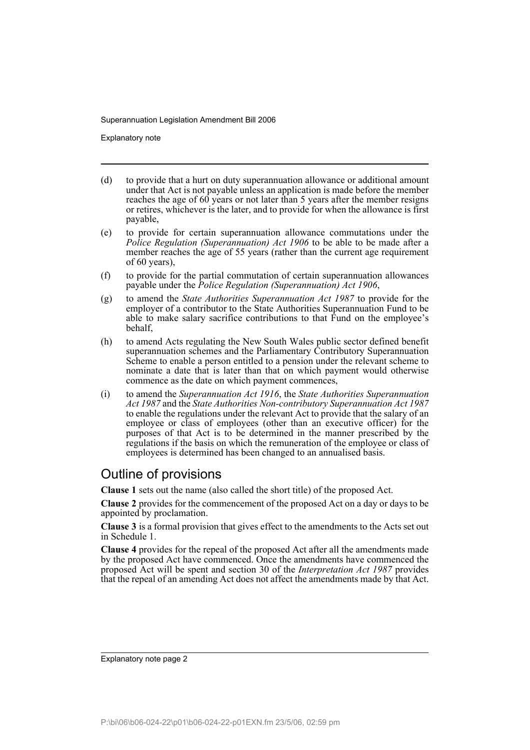Explanatory note

- (d) to provide that a hurt on duty superannuation allowance or additional amount under that Act is not payable unless an application is made before the member reaches the age of 60 years or not later than 5 years after the member resigns or retires, whichever is the later, and to provide for when the allowance is first payable,
- (e) to provide for certain superannuation allowance commutations under the *Police Regulation (Superannuation) Act 1906* to be able to be made after a member reaches the age of 55 years (rather than the current age requirement of 60 years),
- (f) to provide for the partial commutation of certain superannuation allowances payable under the *Police Regulation (Superannuation) Act 1906*,
- (g) to amend the *State Authorities Superannuation Act 1987* to provide for the employer of a contributor to the State Authorities Superannuation Fund to be able to make salary sacrifice contributions to that Fund on the employee's behalf,
- (h) to amend Acts regulating the New South Wales public sector defined benefit superannuation schemes and the Parliamentary Contributory Superannuation Scheme to enable a person entitled to a pension under the relevant scheme to nominate a date that is later than that on which payment would otherwise commence as the date on which payment commences,
- (i) to amend the *Superannuation Act 1916*, the *State Authorities Superannuation Act 1987* and the *State Authorities Non-contributory Superannuation Act 1987* to enable the regulations under the relevant Act to provide that the salary of an employee or class of employees (other than an executive officer) for the purposes of that Act is to be determined in the manner prescribed by the regulations if the basis on which the remuneration of the employee or class of employees is determined has been changed to an annualised basis.

## Outline of provisions

**Clause 1** sets out the name (also called the short title) of the proposed Act.

**Clause 2** provides for the commencement of the proposed Act on a day or days to be appointed by proclamation.

**Clause 3** is a formal provision that gives effect to the amendments to the Acts set out in Schedule 1.

**Clause 4** provides for the repeal of the proposed Act after all the amendments made by the proposed Act have commenced. Once the amendments have commenced the proposed Act will be spent and section 30 of the *Interpretation Act 1987* provides that the repeal of an amending Act does not affect the amendments made by that Act.

Explanatory note page 2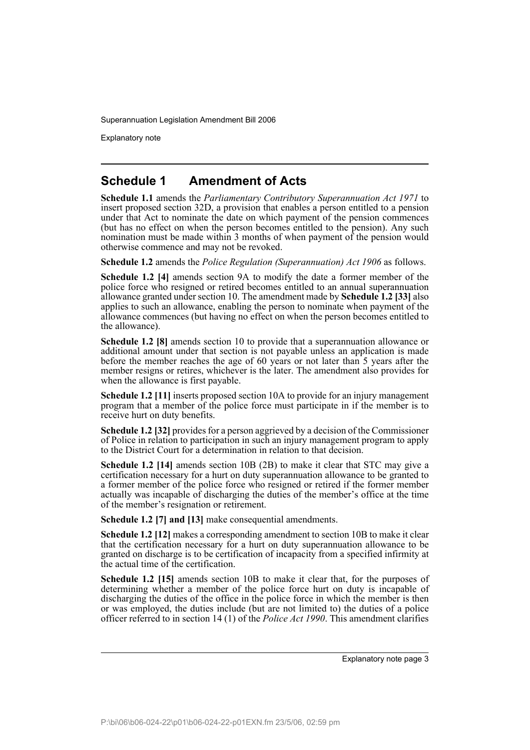Explanatory note

## **Schedule 1 Amendment of Acts**

**Schedule 1.1** amends the *Parliamentary Contributory Superannuation Act 1971* to insert proposed section 32D, a provision that enables a person entitled to a pension under that Act to nominate the date on which payment of the pension commences (but has no effect on when the person becomes entitled to the pension). Any such nomination must be made within 3 months of when payment of the pension would otherwise commence and may not be revoked.

**Schedule 1.2** amends the *Police Regulation (Superannuation) Act 1906* as follows.

**Schedule 1.2 [4]** amends section 9A to modify the date a former member of the police force who resigned or retired becomes entitled to an annual superannuation allowance granted under section 10. The amendment made by **Schedule 1.2 [33]** also applies to such an allowance, enabling the person to nominate when payment of the allowance commences (but having no effect on when the person becomes entitled to the allowance).

**Schedule 1.2 [8]** amends section 10 to provide that a superannuation allowance or additional amount under that section is not payable unless an application is made before the member reaches the age of 60 years or not later than 5 years after the member resigns or retires, whichever is the later. The amendment also provides for when the allowance is first payable.

**Schedule 1.2 [11]** inserts proposed section 10A to provide for an injury management program that a member of the police force must participate in if the member is to receive hurt on duty benefits.

**Schedule 1.2 [32]** provides for a person aggrieved by a decision of the Commissioner of Police in relation to participation in such an injury management program to apply to the District Court for a determination in relation to that decision.

**Schedule 1.2 [14]** amends section 10B (2B) to make it clear that STC may give a certification necessary for a hurt on duty superannuation allowance to be granted to a former member of the police force who resigned or retired if the former member actually was incapable of discharging the duties of the member's office at the time of the member's resignation or retirement.

**Schedule 1.2 [7] and [13]** make consequential amendments.

**Schedule 1.2 [12]** makes a corresponding amendment to section 10B to make it clear that the certification necessary for a hurt on duty superannuation allowance to be granted on discharge is to be certification of incapacity from a specified infirmity at the actual time of the certification.

**Schedule 1.2 [15]** amends section 10B to make it clear that, for the purposes of determining whether a member of the police force hurt on duty is incapable of discharging the duties of the office in the police force in which the member is then or was employed, the duties include (but are not limited to) the duties of a police officer referred to in section 14 (1) of the *Police Act 1990*. This amendment clarifies

Explanatory note page 3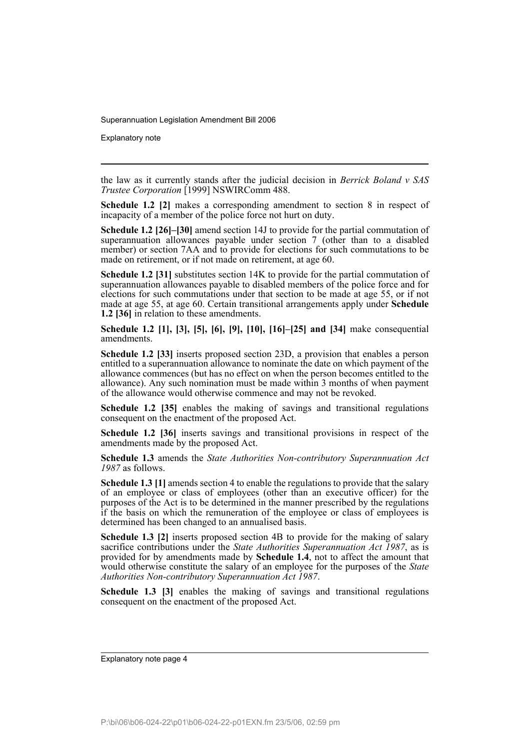Explanatory note

the law as it currently stands after the judicial decision in *Berrick Boland v SAS Trustee Corporation* [1999] NSWIRComm 488.

**Schedule 1.2 [2]** makes a corresponding amendment to section 8 in respect of incapacity of a member of the police force not hurt on duty.

**Schedule 1.2 [26]–[30]** amend section 14J to provide for the partial commutation of superannuation allowances payable under section 7 (other than to a disabled member) or section 7AA and to provide for elections for such commutations to be made on retirement, or if not made on retirement, at age 60.

**Schedule 1.2 [31]** substitutes section 14K to provide for the partial commutation of superannuation allowances payable to disabled members of the police force and for elections for such commutations under that section to be made at age 55, or if not made at age 55, at age 60. Certain transitional arrangements apply under **Schedule 1.2 [36]** in relation to these amendments.

**Schedule 1.2 [1], [3], [5], [6], [9], [10], [16]–[25] and [34]** make consequential amendments.

**Schedule 1.2 [33]** inserts proposed section 23D, a provision that enables a person entitled to a superannuation allowance to nominate the date on which payment of the allowance commences (but has no effect on when the person becomes entitled to the allowance). Any such nomination must be made within 3 months of when payment of the allowance would otherwise commence and may not be revoked.

**Schedule 1.2 [35]** enables the making of savings and transitional regulations consequent on the enactment of the proposed Act.

**Schedule 1.2 [36]** inserts savings and transitional provisions in respect of the amendments made by the proposed Act.

**Schedule 1.3** amends the *State Authorities Non-contributory Superannuation Act 1987* as follows.

**Schedule 1.3 [1]** amends section 4 to enable the regulations to provide that the salary of an employee or class of employees (other than an executive officer) for the purposes of the Act is to be determined in the manner prescribed by the regulations if the basis on which the remuneration of the employee or class of employees is determined has been changed to an annualised basis.

**Schedule 1.3 [2]** inserts proposed section 4B to provide for the making of salary sacrifice contributions under the *State Authorities Superannuation Act 1987*, as is provided for by amendments made by **Schedule 1.4**, not to affect the amount that would otherwise constitute the salary of an employee for the purposes of the *State Authorities Non-contributory Superannuation Act 1987*.

**Schedule 1.3 [3]** enables the making of savings and transitional regulations consequent on the enactment of the proposed Act.

Explanatory note page 4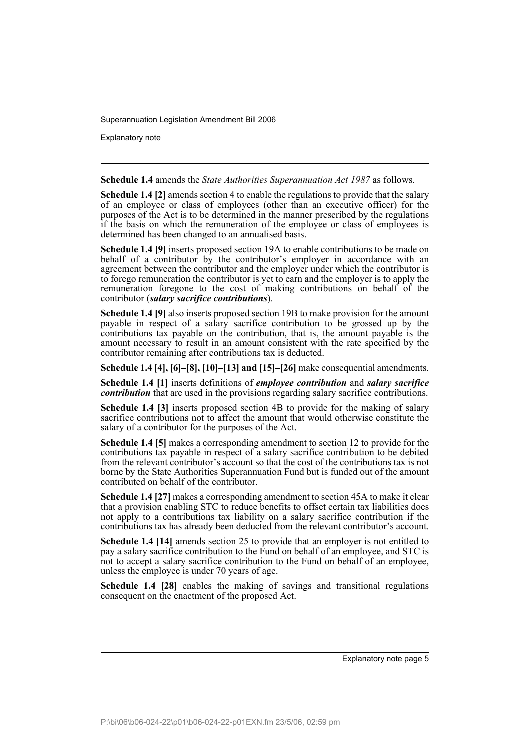Explanatory note

**Schedule 1.4** amends the *State Authorities Superannuation Act 1987* as follows.

**Schedule 1.4 [2]** amends section 4 to enable the regulations to provide that the salary of an employee or class of employees (other than an executive officer) for the purposes of the Act is to be determined in the manner prescribed by the regulations if the basis on which the remuneration of the employee or class of employees is determined has been changed to an annualised basis.

**Schedule 1.4 [9]** inserts proposed section 19A to enable contributions to be made on behalf of a contributor by the contributor's employer in accordance with an agreement between the contributor and the employer under which the contributor is to forego remuneration the contributor is yet to earn and the employer is to apply the remuneration foregone to the cost of making contributions on behalf of the contributor (*salary sacrifice contributions*).

**Schedule 1.4 [9]** also inserts proposed section 19B to make provision for the amount payable in respect of a salary sacrifice contribution to be grossed up by the contributions tax payable on the contribution, that is, the amount payable is the amount necessary to result in an amount consistent with the rate specified by the contributor remaining after contributions tax is deducted.

**Schedule 1.4 [4], [6]–[8], [10]–[13] and [15]–[26]** make consequential amendments.

**Schedule 1.4 [1]** inserts definitions of *employee contribution* and *salary sacrifice contribution* that are used in the provisions regarding salary sacrifice contributions.

**Schedule 1.4 [3]** inserts proposed section 4B to provide for the making of salary sacrifice contributions not to affect the amount that would otherwise constitute the salary of a contributor for the purposes of the Act.

**Schedule 1.4 [5]** makes a corresponding amendment to section 12 to provide for the contributions tax payable in respect of a salary sacrifice contribution to be debited from the relevant contributor's account so that the cost of the contributions tax is not borne by the State Authorities Superannuation Fund but is funded out of the amount contributed on behalf of the contributor.

**Schedule 1.4 [27]** makes a corresponding amendment to section 45A to make it clear that a provision enabling STC to reduce benefits to offset certain tax liabilities does not apply to a contributions tax liability on a salary sacrifice contribution if the contributions tax has already been deducted from the relevant contributor's account.

**Schedule 1.4 [14]** amends section 25 to provide that an employer is not entitled to pay a salary sacrifice contribution to the Fund on behalf of an employee, and STC is not to accept a salary sacrifice contribution to the Fund on behalf of an employee, unless the employee is under 70 years of age.

**Schedule 1.4 [28]** enables the making of savings and transitional regulations consequent on the enactment of the proposed Act.

Explanatory note page 5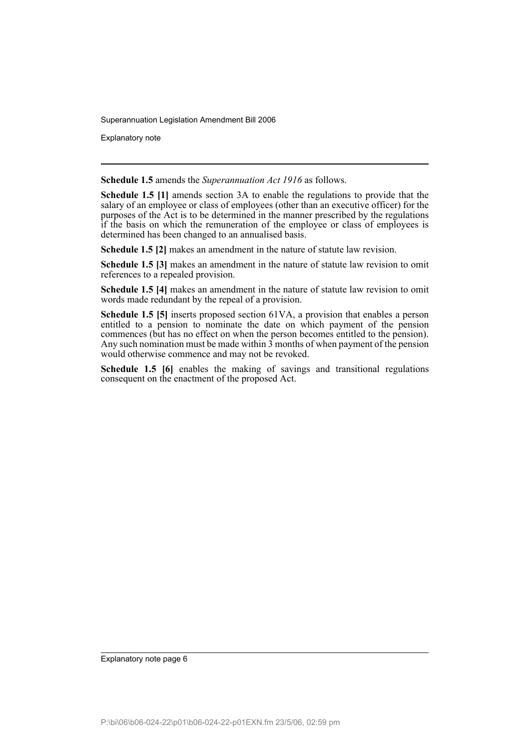Explanatory note

**Schedule 1.5** amends the *Superannuation Act 1916* as follows.

**Schedule 1.5 [1]** amends section 3A to enable the regulations to provide that the salary of an employee or class of employees (other than an executive officer) for the purposes of the Act is to be determined in the manner prescribed by the regulations if the basis on which the remuneration of the employee or class of employees is determined has been changed to an annualised basis.

**Schedule 1.5 [2]** makes an amendment in the nature of statute law revision.

**Schedule 1.5 [3]** makes an amendment in the nature of statute law revision to omit references to a repealed provision.

**Schedule 1.5 [4]** makes an amendment in the nature of statute law revision to omit words made redundant by the repeal of a provision.

**Schedule 1.5 [5]** inserts proposed section 61VA, a provision that enables a person entitled to a pension to nominate the date on which payment of the pension commences (but has no effect on when the person becomes entitled to the pension). Any such nomination must be made within 3 months of when payment of the pension would otherwise commence and may not be revoked.

**Schedule 1.5 [6]** enables the making of savings and transitional regulations consequent on the enactment of the proposed Act.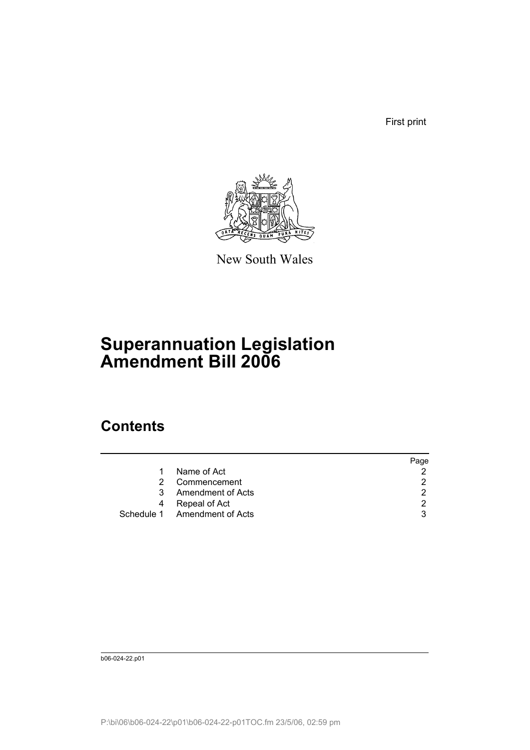First print



New South Wales

# **Superannuation Legislation Amendment Bill 2006**

## **Contents**

|    |                              | Page |
|----|------------------------------|------|
|    | Name of Act                  |      |
| 2  | Commencement                 | 2.   |
| 3. | Amendment of Acts            | 2    |
| 4  | Repeal of Act                | 2    |
|    | Schedule 1 Amendment of Acts | 3    |

b06-024-22.p01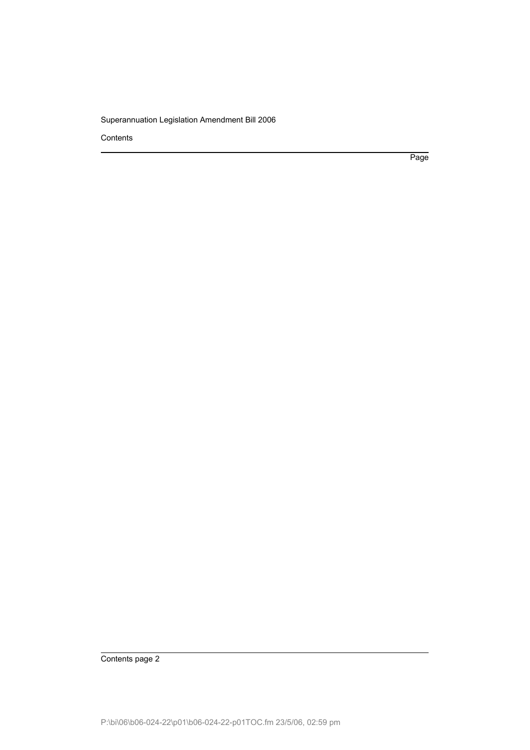Contents

Page

Contents page 2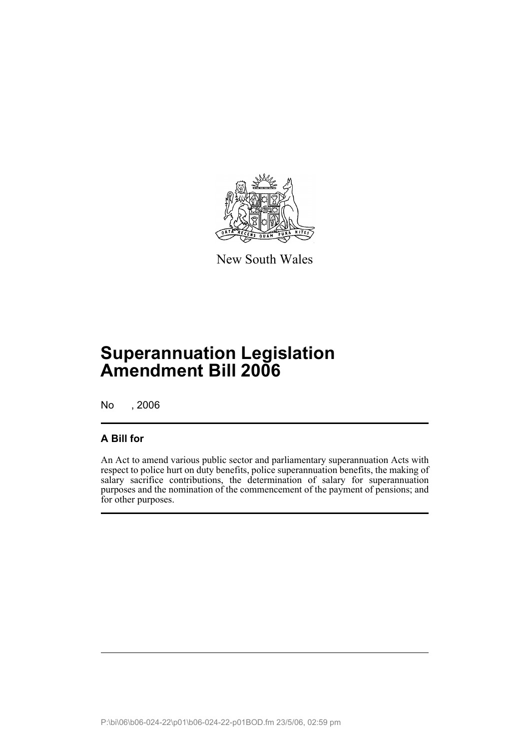

New South Wales

# **Superannuation Legislation Amendment Bill 2006**

No , 2006

## **A Bill for**

An Act to amend various public sector and parliamentary superannuation Acts with respect to police hurt on duty benefits, police superannuation benefits, the making of salary sacrifice contributions, the determination of salary for superannuation purposes and the nomination of the commencement of the payment of pensions; and for other purposes.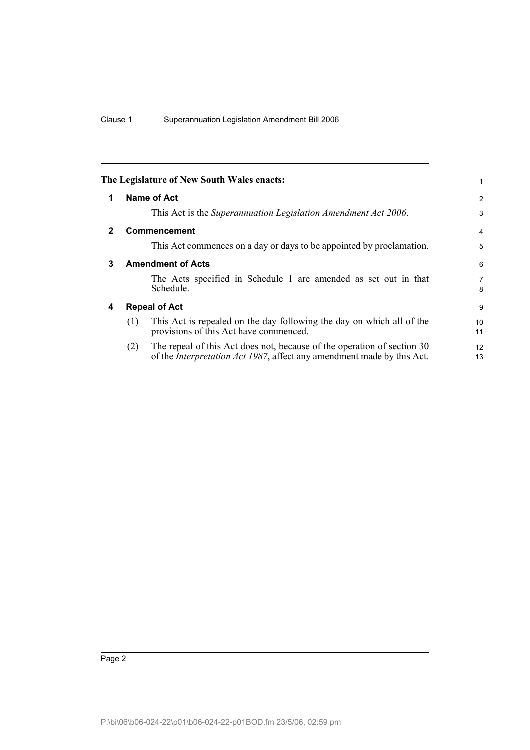<span id="page-9-3"></span><span id="page-9-2"></span><span id="page-9-1"></span><span id="page-9-0"></span>

|              | The Legislature of New South Wales enacts:                                                                                                                       | 1        |
|--------------|------------------------------------------------------------------------------------------------------------------------------------------------------------------|----------|
| 1            | Name of Act                                                                                                                                                      | 2        |
|              | This Act is the Superannuation Legislation Amendment Act 2006.                                                                                                   | 3        |
| $\mathbf{2}$ | <b>Commencement</b>                                                                                                                                              | 4        |
|              | This Act commences on a day or days to be appointed by proclamation.                                                                                             | 5        |
| 3            | <b>Amendment of Acts</b>                                                                                                                                         | 6        |
|              | The Acts specified in Schedule 1 are amended as set out in that<br>Schedule.                                                                                     | 7<br>8   |
| 4            | <b>Repeal of Act</b>                                                                                                                                             | 9        |
|              | This Act is repealed on the day following the day on which all of the<br>(1)<br>provisions of this Act have commenced.                                           | 10<br>11 |
|              | The repeal of this Act does not, because of the operation of section 30<br>(2)<br>of the <i>Interpretation Act 1987</i> , affect any amendment made by this Act. | 12<br>13 |
|              |                                                                                                                                                                  |          |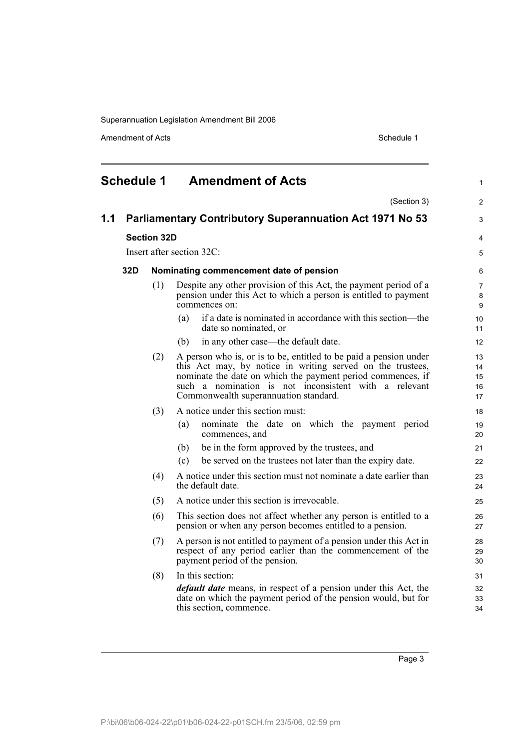Amendment of Acts Schedule 1

<span id="page-10-0"></span>

|     | <b>Schedule 1</b> |                    | <b>Amendment of Acts</b>                                                                                                                                                                                                                                                                         | $\mathbf{1}$               |
|-----|-------------------|--------------------|--------------------------------------------------------------------------------------------------------------------------------------------------------------------------------------------------------------------------------------------------------------------------------------------------|----------------------------|
|     |                   |                    | (Section 3)                                                                                                                                                                                                                                                                                      | $\overline{2}$             |
| 1.1 |                   |                    | <b>Parliamentary Contributory Superannuation Act 1971 No 53</b>                                                                                                                                                                                                                                  | 3                          |
|     |                   | <b>Section 32D</b> |                                                                                                                                                                                                                                                                                                  | 4                          |
|     |                   |                    | Insert after section 32C:                                                                                                                                                                                                                                                                        | 5                          |
|     |                   |                    |                                                                                                                                                                                                                                                                                                  |                            |
|     | 32D               |                    | Nominating commencement date of pension                                                                                                                                                                                                                                                          | 6                          |
|     |                   | (1)                | Despite any other provision of this Act, the payment period of a<br>pension under this Act to which a person is entitled to payment<br>commences on:                                                                                                                                             | $\overline{7}$<br>8<br>9   |
|     |                   |                    | if a date is nominated in accordance with this section—the<br>(a)<br>date so nominated, or                                                                                                                                                                                                       | 10<br>11                   |
|     |                   |                    | in any other case—the default date.<br>(b)                                                                                                                                                                                                                                                       | 12                         |
|     |                   | (2)                | A person who is, or is to be, entitled to be paid a pension under<br>this Act may, by notice in writing served on the trustees,<br>nominate the date on which the payment period commences, if<br>such a nomination is not inconsistent with a relevant<br>Commonwealth superannuation standard. | 13<br>14<br>15<br>16<br>17 |
|     |                   | (3)                | A notice under this section must:                                                                                                                                                                                                                                                                | 18                         |
|     |                   |                    | nominate the date on which the payment period<br>(a)<br>commences, and                                                                                                                                                                                                                           | 19<br>20                   |
|     |                   |                    | be in the form approved by the trustees, and<br>(b)                                                                                                                                                                                                                                              | 21                         |
|     |                   |                    | be served on the trustees not later than the expiry date.<br>(c)                                                                                                                                                                                                                                 | 22                         |
|     |                   | (4)                | A notice under this section must not nominate a date earlier than<br>the default date.                                                                                                                                                                                                           | 23<br>24                   |
|     |                   | (5)                | A notice under this section is irrevocable.                                                                                                                                                                                                                                                      | 25                         |
|     |                   | (6)                | This section does not affect whether any person is entitled to a<br>pension or when any person becomes entitled to a pension.                                                                                                                                                                    | 26<br>27                   |
|     |                   | (7)                | A person is not entitled to payment of a pension under this Act in<br>respect of any period earlier than the commencement of the<br>payment period of the pension.                                                                                                                               | 28<br>29<br>30             |
|     |                   | (8)                | In this section:                                                                                                                                                                                                                                                                                 | 31                         |
|     |                   |                    | <i>default date</i> means, in respect of a pension under this Act, the<br>date on which the payment period of the pension would, but for<br>this section, commence.                                                                                                                              | 32<br>33<br>34             |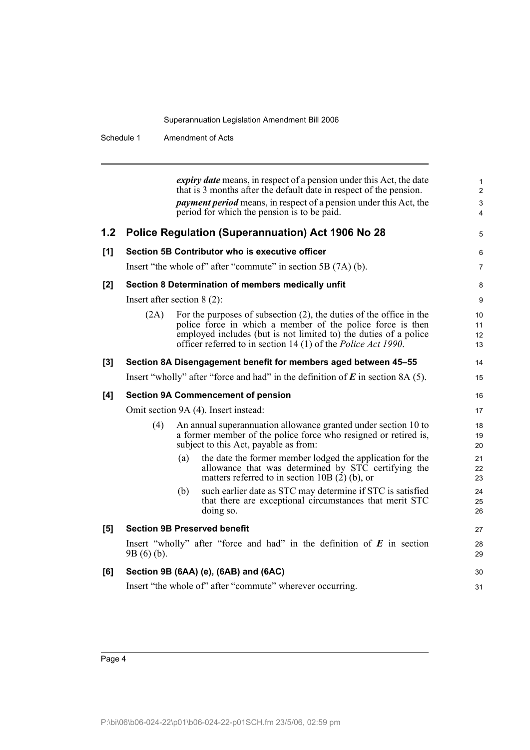|     |              | <i>expiry date</i> means, in respect of a pension under this Act, the date<br>that is 3 months after the default date in respect of the pension.<br><i>payment period</i> means, in respect of a pension under this Act, the<br>period for which the pension is to be paid.       | $\mathbf{1}$<br>$\overline{2}$<br>3<br>4       |
|-----|--------------|-----------------------------------------------------------------------------------------------------------------------------------------------------------------------------------------------------------------------------------------------------------------------------------|------------------------------------------------|
| 1.2 |              | Police Regulation (Superannuation) Act 1906 No 28                                                                                                                                                                                                                                 | 5                                              |
| [1] |              | Section 5B Contributor who is executive officer                                                                                                                                                                                                                                   | 6                                              |
|     |              | Insert "the whole of" after "commute" in section 5B (7A) (b).                                                                                                                                                                                                                     | $\overline{7}$                                 |
| [2] |              | Section 8 Determination of members medically unfit                                                                                                                                                                                                                                | 8                                              |
|     |              | Insert after section $8(2)$ :                                                                                                                                                                                                                                                     | 9                                              |
|     | (2A)         | For the purposes of subsection $(2)$ , the duties of the office in the<br>police force in which a member of the police force is then<br>employed includes (but is not limited to) the duties of a police<br>officer referred to in section 14 (1) of the <i>Police Act 1990</i> . | 10 <sup>°</sup><br>11<br>12 <sup>2</sup><br>13 |
| [3] |              | Section 8A Disengagement benefit for members aged between 45-55                                                                                                                                                                                                                   | 14                                             |
|     |              | Insert "wholly" after "force and had" in the definition of $\vec{E}$ in section 8A (5).                                                                                                                                                                                           | 15                                             |
|     |              |                                                                                                                                                                                                                                                                                   |                                                |
| [4] |              | <b>Section 9A Commencement of pension</b>                                                                                                                                                                                                                                         | 16                                             |
|     |              | Omit section 9A (4). Insert instead:                                                                                                                                                                                                                                              | 17                                             |
|     | (4)          | An annual superannuation allowance granted under section 10 to<br>a former member of the police force who resigned or retired is,<br>subject to this Act, payable as from:                                                                                                        | 18<br>19<br>20                                 |
|     |              | the date the former member lodged the application for the<br>(a)<br>allowance that was determined by STC certifying the<br>matters referred to in section 10B $(2)$ (b), or                                                                                                       | 21<br>22<br>23                                 |
|     |              | such earlier date as STC may determine if STC is satisfied<br>(b)<br>that there are exceptional circumstances that merit STC<br>doing so.                                                                                                                                         | 24<br>25<br>26                                 |
| [5] |              | <b>Section 9B Preserved benefit</b>                                                                                                                                                                                                                                               | 27                                             |
|     | $9B(6)(b)$ . | Insert "wholly" after "force and had" in the definition of $E$ in section                                                                                                                                                                                                         | 28<br>29                                       |
| [6] |              | Section 9B (6AA) (e), (6AB) and (6AC)                                                                                                                                                                                                                                             | 30                                             |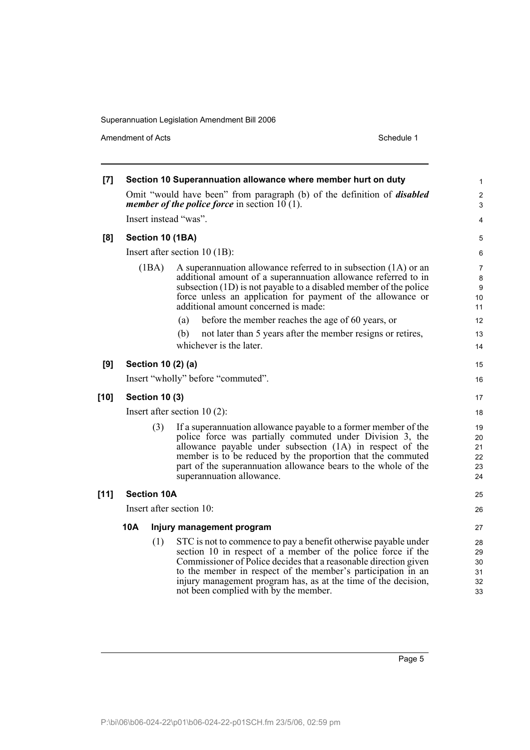Amendment of Acts Schedule 1

| [7]    |                       |     | Section 10 Superannuation allowance where member hurt on duty                                                                                                                                                                                                                                                                                                                  | 1                                |
|--------|-----------------------|-----|--------------------------------------------------------------------------------------------------------------------------------------------------------------------------------------------------------------------------------------------------------------------------------------------------------------------------------------------------------------------------------|----------------------------------|
|        |                       |     | Omit "would have been" from paragraph (b) of the definition of <i>disabled</i><br><i>member of the police force</i> in section $10(1)$ .                                                                                                                                                                                                                                       | $\boldsymbol{2}$<br>3            |
|        |                       |     | Insert instead "was".                                                                                                                                                                                                                                                                                                                                                          | 4                                |
| [8]    | Section 10 (1BA)      |     |                                                                                                                                                                                                                                                                                                                                                                                | 5                                |
|        |                       |     | Insert after section $10(1B)$ :                                                                                                                                                                                                                                                                                                                                                | 6                                |
|        | (1BA)                 |     | A superannuation allowance referred to in subsection (1A) or an<br>additional amount of a superannuation allowance referred to in<br>subsection (1D) is not payable to a disabled member of the police<br>force unless an application for payment of the allowance or<br>additional amount concerned is made:                                                                  | 7<br>$\bf 8$<br>9<br>10<br>11    |
|        |                       |     | before the member reaches the age of 60 years, or<br>(a)                                                                                                                                                                                                                                                                                                                       | 12                               |
|        |                       |     | not later than 5 years after the member resigns or retires,<br>(b)<br>whichever is the later.                                                                                                                                                                                                                                                                                  | 13<br>14                         |
|        |                       |     |                                                                                                                                                                                                                                                                                                                                                                                |                                  |
| [9]    | Section 10 (2) (a)    |     |                                                                                                                                                                                                                                                                                                                                                                                | 15                               |
|        |                       |     | Insert "wholly" before "commuted".                                                                                                                                                                                                                                                                                                                                             | 16                               |
| $[10]$ | <b>Section 10 (3)</b> |     |                                                                                                                                                                                                                                                                                                                                                                                | 17                               |
|        |                       |     | Insert after section $10(2)$ :                                                                                                                                                                                                                                                                                                                                                 | 18                               |
|        |                       | (3) | If a superannuation allowance payable to a former member of the<br>police force was partially commuted under Division 3, the<br>allowance payable under subsection (1A) in respect of the<br>member is to be reduced by the proportion that the commuted<br>part of the superannuation allowance bears to the whole of the<br>superannuation allowance.                        | 19<br>20<br>21<br>22<br>23<br>24 |
| $[11]$ | <b>Section 10A</b>    |     |                                                                                                                                                                                                                                                                                                                                                                                | 25                               |
|        |                       |     | Insert after section 10:                                                                                                                                                                                                                                                                                                                                                       | 26                               |
|        | <b>10A</b>            |     | Injury management program                                                                                                                                                                                                                                                                                                                                                      | 27                               |
|        |                       | (1) | STC is not to commence to pay a benefit otherwise payable under<br>section 10 in respect of a member of the police force if the<br>Commissioner of Police decides that a reasonable direction given<br>to the member in respect of the member's participation in an<br>injury management program has, as at the time of the decision,<br>not been complied with by the member. | 28<br>29<br>30<br>31<br>32<br>33 |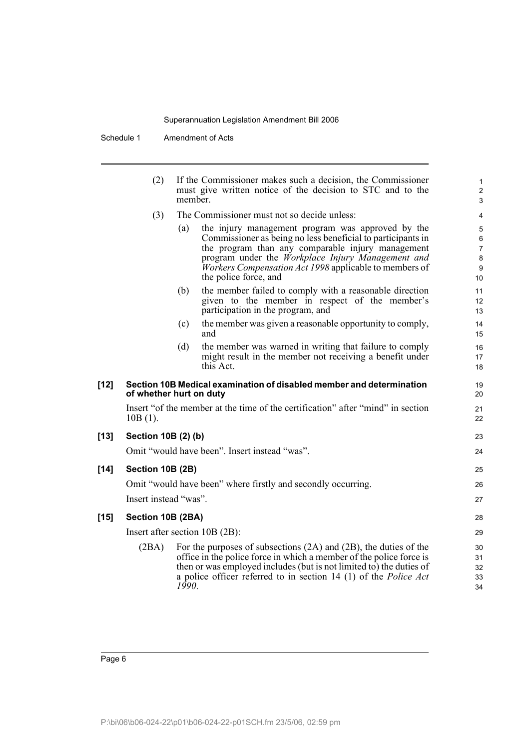|        | (2)                     | member. | If the Commissioner makes such a decision, the Commissioner<br>must give written notice of the decision to STC and to the                                                                                                                                                                                            | $\mathbf{1}$<br>2<br>3                   |
|--------|-------------------------|---------|----------------------------------------------------------------------------------------------------------------------------------------------------------------------------------------------------------------------------------------------------------------------------------------------------------------------|------------------------------------------|
|        | (3)                     |         | The Commissioner must not so decide unless:                                                                                                                                                                                                                                                                          | 4                                        |
|        |                         | (a)     | the injury management program was approved by the<br>Commissioner as being no less beneficial to participants in<br>the program than any comparable injury management<br>program under the Workplace Injury Management and<br><i>Workers Compensation Act 1998</i> applicable to members of<br>the police force, and | 5<br>6<br>$\overline{7}$<br>8<br>9<br>10 |
|        |                         | (b)     | the member failed to comply with a reasonable direction<br>given to the member in respect of the member's<br>participation in the program, and                                                                                                                                                                       | 11<br>12 <sup>2</sup><br>13              |
|        |                         | (c)     | the member was given a reasonable opportunity to comply,<br>and                                                                                                                                                                                                                                                      | 14<br>15                                 |
|        |                         | (d)     | the member was warned in writing that failure to comply<br>might result in the member not receiving a benefit under<br>this Act.                                                                                                                                                                                     | 16<br>17<br>18                           |
| $[12]$ | of whether hurt on duty |         | Section 10B Medical examination of disabled member and determination                                                                                                                                                                                                                                                 | 19<br>20                                 |
|        | $10B(1)$ .              |         | Insert "of the member at the time of the certification" after "mind" in section                                                                                                                                                                                                                                      | 21<br>22                                 |
| [13]   | Section 10B (2) (b)     |         |                                                                                                                                                                                                                                                                                                                      | 23                                       |
|        |                         |         | Omit "would have been". Insert instead "was".                                                                                                                                                                                                                                                                        | 24                                       |
| $[14]$ | Section 10B (2B)        |         |                                                                                                                                                                                                                                                                                                                      | 25                                       |
|        |                         |         | Omit "would have been" where firstly and secondly occurring.                                                                                                                                                                                                                                                         | 26                                       |
|        | Insert instead "was".   |         |                                                                                                                                                                                                                                                                                                                      | 27                                       |
| $[15]$ | Section 10B (2BA)       |         |                                                                                                                                                                                                                                                                                                                      | 28                                       |
|        |                         |         | Insert after section 10B (2B):                                                                                                                                                                                                                                                                                       | 29                                       |
|        | (2BA)                   | 1990.   | For the purposes of subsections $(2A)$ and $(2B)$ , the duties of the<br>office in the police force in which a member of the police force is<br>then or was employed includes (but is not limited to) the duties of<br>a police officer referred to in section 14 (1) of the <i>Police Act</i>                       | 30<br>31<br>32<br>33<br>34               |
|        |                         |         |                                                                                                                                                                                                                                                                                                                      |                                          |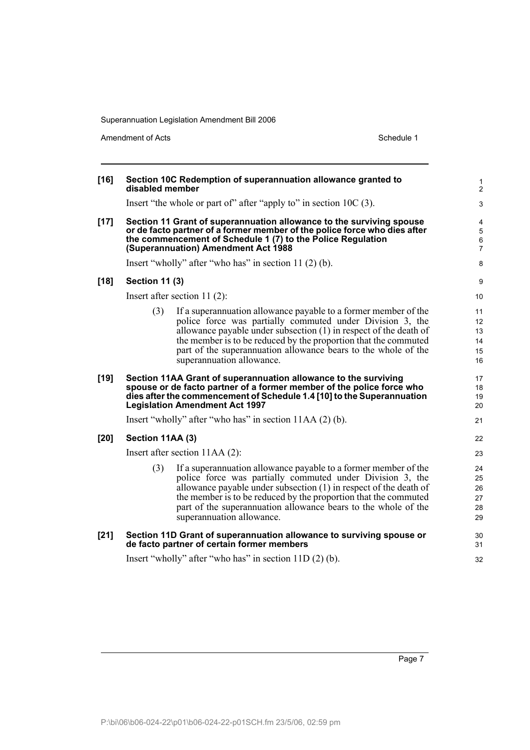Amendment of Acts Schedule 1

| $[16]$ | Section 10C Redemption of superannuation allowance granted to<br>disabled member                                                                                                                                                                                                                                                                                           | 1<br>$\overline{c}$                                     |
|--------|----------------------------------------------------------------------------------------------------------------------------------------------------------------------------------------------------------------------------------------------------------------------------------------------------------------------------------------------------------------------------|---------------------------------------------------------|
|        | Insert "the whole or part of" after "apply to" in section $10C(3)$ .                                                                                                                                                                                                                                                                                                       | 3                                                       |
| $[17]$ | Section 11 Grant of superannuation allowance to the surviving spouse<br>or de facto partner of a former member of the police force who dies after<br>the commencement of Schedule 1 (7) to the Police Regulation<br>(Superannuation) Amendment Act 1988                                                                                                                    | $\overline{\mathbf{4}}$<br>5<br>$\,6$<br>$\overline{7}$ |
|        | Insert "wholly" after "who has" in section $11(2)$ (b).                                                                                                                                                                                                                                                                                                                    | 8                                                       |
| $[18]$ | <b>Section 11 (3)</b>                                                                                                                                                                                                                                                                                                                                                      | 9                                                       |
|        | Insert after section 11 $(2)$ :                                                                                                                                                                                                                                                                                                                                            | 10                                                      |
|        | (3)<br>If a superannuation allowance payable to a former member of the<br>police force was partially commuted under Division 3, the<br>allowance payable under subsection (1) in respect of the death of<br>the member is to be reduced by the proportion that the commuted<br>part of the superannuation allowance bears to the whole of the<br>superannuation allowance. | 11<br>12<br>13<br>14<br>15<br>16                        |
|        |                                                                                                                                                                                                                                                                                                                                                                            |                                                         |
| $[19]$ | Section 11AA Grant of superannuation allowance to the surviving<br>spouse or de facto partner of a former member of the police force who<br>dies after the commencement of Schedule 1.4 [10] to the Superannuation<br><b>Legislation Amendment Act 1997</b>                                                                                                                | 17<br>18<br>19<br>20                                    |
|        | Insert "wholly" after "who has" in section 11AA (2) (b).                                                                                                                                                                                                                                                                                                                   | 21                                                      |
| [20]   | Section 11AA (3)                                                                                                                                                                                                                                                                                                                                                           | 22                                                      |
|        | Insert after section $11AA(2)$ :                                                                                                                                                                                                                                                                                                                                           | 23                                                      |
|        | (3)<br>If a superannuation allowance payable to a former member of the<br>police force was partially commuted under Division 3, the<br>allowance payable under subsection (1) in respect of the death of<br>the member is to be reduced by the proportion that the commuted<br>part of the superannuation allowance bears to the whole of the<br>superannuation allowance. | 24<br>25<br>26<br>27<br>28<br>29                        |
| $[21]$ | Section 11D Grant of superannuation allowance to surviving spouse or<br>de facto partner of certain former members                                                                                                                                                                                                                                                         | 30<br>31                                                |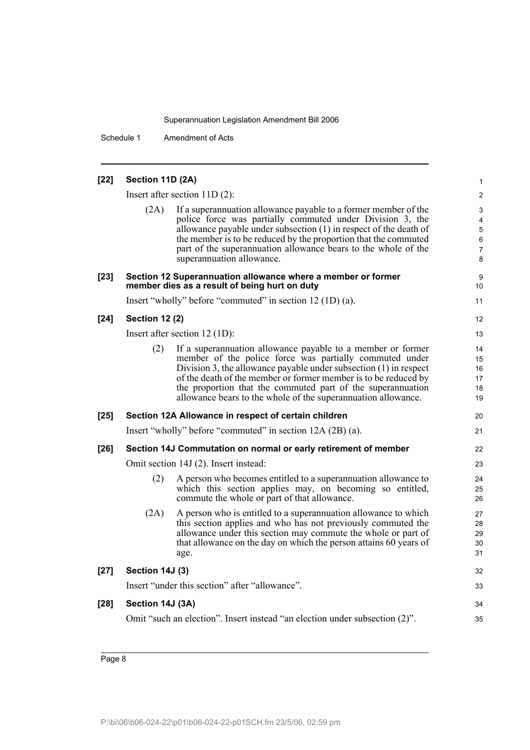Schedule 1 Amendment of Acts

| $[22]$ | Section 11D (2A)      |                                                                                                                                                                                                                                                                                                                                                                                                  | 1                                                             |
|--------|-----------------------|--------------------------------------------------------------------------------------------------------------------------------------------------------------------------------------------------------------------------------------------------------------------------------------------------------------------------------------------------------------------------------------------------|---------------------------------------------------------------|
|        |                       | Insert after section $11D(2)$ :                                                                                                                                                                                                                                                                                                                                                                  | $\overline{c}$                                                |
|        | (2A)                  | If a superannuation allowance payable to a former member of the<br>police force was partially commuted under Division 3, the<br>allowance payable under subsection $(1)$ in respect of the death of<br>the member is to be reduced by the proportion that the commuted<br>part of the superannuation allowance bears to the whole of the<br>superannuation allowance.                            | 3<br>$\overline{\mathbf{4}}$<br>5<br>6<br>$\overline{7}$<br>8 |
| $[23]$ |                       | Section 12 Superannuation allowance where a member or former<br>member dies as a result of being hurt on duty                                                                                                                                                                                                                                                                                    | 9<br>10                                                       |
|        |                       | Insert "wholly" before "commuted" in section $12 (1D) (a)$ .                                                                                                                                                                                                                                                                                                                                     | 11                                                            |
| $[24]$ | <b>Section 12 (2)</b> |                                                                                                                                                                                                                                                                                                                                                                                                  | 12                                                            |
|        |                       | Insert after section $12 \text{ (1D)}$ :                                                                                                                                                                                                                                                                                                                                                         | 13                                                            |
|        | (2)                   | If a superannuation allowance payable to a member or former<br>member of the police force was partially commuted under<br>Division 3, the allowance payable under subsection $(1)$ in respect<br>of the death of the member or former member is to be reduced by<br>the proportion that the commuted part of the superannuation<br>allowance bears to the whole of the superannuation allowance. | 14<br>15<br>16<br>17<br>18<br>19                              |
| $[25]$ |                       | Section 12A Allowance in respect of certain children                                                                                                                                                                                                                                                                                                                                             | 20                                                            |
|        |                       | Insert "wholly" before "commuted" in section 12A (2B) (a).                                                                                                                                                                                                                                                                                                                                       | 21                                                            |
| $[26]$ |                       | Section 14J Commutation on normal or early retirement of member                                                                                                                                                                                                                                                                                                                                  | 22                                                            |
|        |                       | Omit section 14J (2). Insert instead:                                                                                                                                                                                                                                                                                                                                                            | 23                                                            |
|        | (2)                   | A person who becomes entitled to a superannuation allowance to<br>which this section applies may, on becoming so entitled,<br>commute the whole or part of that allowance.                                                                                                                                                                                                                       | 24<br>25<br>26                                                |
|        | (2A)                  | A person who is entitled to a superannuation allowance to which<br>this section applies and who has not previously commuted the<br>allowance under this section may commute the whole or part of<br>that allowance on the day on which the person attains 60 years of<br>age.                                                                                                                    | 27<br>28<br>29<br>30<br>31                                    |
| $[27]$ | Section 14J (3)       |                                                                                                                                                                                                                                                                                                                                                                                                  | 32                                                            |
|        |                       | Insert "under this section" after "allowance".                                                                                                                                                                                                                                                                                                                                                   | 33                                                            |
| $[28]$ | Section 14J (3A)      |                                                                                                                                                                                                                                                                                                                                                                                                  | 34                                                            |
|        |                       | Omit "such an election". Insert instead "an election under subsection (2)".                                                                                                                                                                                                                                                                                                                      | 35                                                            |
|        |                       |                                                                                                                                                                                                                                                                                                                                                                                                  |                                                               |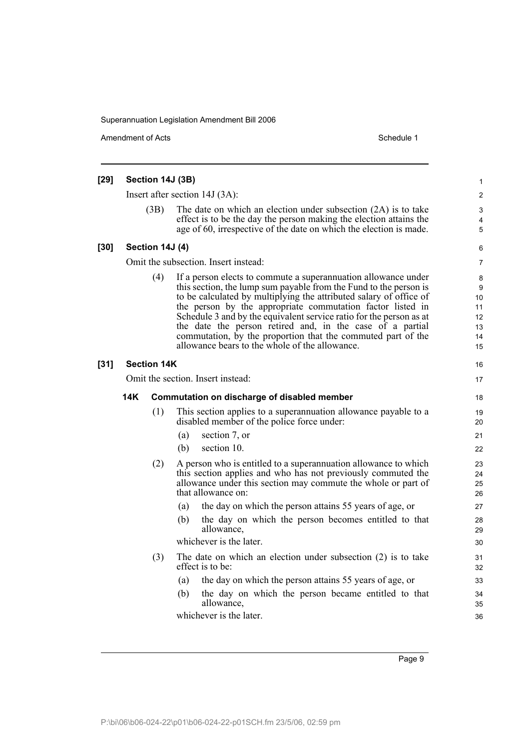Amendment of Acts Schedule 1

| $[29]$ |     | Section 14J (3B)   |                                                                                                                                                                                                                                                                                                                                                                                                                                                                                                                               | $\mathbf{1}$                               |
|--------|-----|--------------------|-------------------------------------------------------------------------------------------------------------------------------------------------------------------------------------------------------------------------------------------------------------------------------------------------------------------------------------------------------------------------------------------------------------------------------------------------------------------------------------------------------------------------------|--------------------------------------------|
|        |     |                    | Insert after section 14J (3A):                                                                                                                                                                                                                                                                                                                                                                                                                                                                                                | 2                                          |
|        |     | (3B)               | The date on which an election under subsection (2A) is to take<br>effect is to be the day the person making the election attains the<br>age of 60, irrespective of the date on which the election is made.                                                                                                                                                                                                                                                                                                                    | 3<br>4<br>5                                |
| $[30]$ |     | Section 14J (4)    |                                                                                                                                                                                                                                                                                                                                                                                                                                                                                                                               | 6                                          |
|        |     |                    | Omit the subsection. Insert instead:                                                                                                                                                                                                                                                                                                                                                                                                                                                                                          | 7                                          |
|        |     | (4)                | If a person elects to commute a superannuation allowance under<br>this section, the lump sum payable from the Fund to the person is<br>to be calculated by multiplying the attributed salary of office of<br>the person by the appropriate commutation factor listed in<br>Schedule 3 and by the equivalent service ratio for the person as at<br>the date the person retired and, in the case of a partial<br>commutation, by the proportion that the commuted part of the<br>allowance bears to the whole of the allowance. | 8<br>9<br>10<br>11<br>12<br>13<br>14<br>15 |
| $[31]$ |     | <b>Section 14K</b> |                                                                                                                                                                                                                                                                                                                                                                                                                                                                                                                               | 16                                         |
|        |     |                    | Omit the section. Insert instead:                                                                                                                                                                                                                                                                                                                                                                                                                                                                                             | 17                                         |
|        | 14K |                    | Commutation on discharge of disabled member                                                                                                                                                                                                                                                                                                                                                                                                                                                                                   | 18                                         |
|        |     | (1)                | This section applies to a superannuation allowance payable to a                                                                                                                                                                                                                                                                                                                                                                                                                                                               | 19                                         |
|        |     |                    | disabled member of the police force under:                                                                                                                                                                                                                                                                                                                                                                                                                                                                                    | 20                                         |
|        |     |                    | section 7, or<br>(a)                                                                                                                                                                                                                                                                                                                                                                                                                                                                                                          | 21                                         |
|        |     |                    | section 10.<br>(b)                                                                                                                                                                                                                                                                                                                                                                                                                                                                                                            | 22                                         |
|        |     | (2)                | A person who is entitled to a superannuation allowance to which<br>this section applies and who has not previously commuted the<br>allowance under this section may commute the whole or part of<br>that allowance on:                                                                                                                                                                                                                                                                                                        | 23<br>24<br>25<br>26                       |
|        |     |                    | (a)<br>the day on which the person attains 55 years of age, or                                                                                                                                                                                                                                                                                                                                                                                                                                                                | 27                                         |
|        |     |                    | (b)<br>the day on which the person becomes entitled to that<br>allowance,                                                                                                                                                                                                                                                                                                                                                                                                                                                     | 28<br>29                                   |
|        |     |                    | whichever is the later.                                                                                                                                                                                                                                                                                                                                                                                                                                                                                                       | 30                                         |
|        |     | (3)                | The date on which an election under subsection (2) is to take<br>effect is to be:                                                                                                                                                                                                                                                                                                                                                                                                                                             | 31<br>32                                   |
|        |     |                    | the day on which the person attains 55 years of age, or<br>(a)                                                                                                                                                                                                                                                                                                                                                                                                                                                                | 33                                         |
|        |     |                    | (b)<br>the day on which the person became entitled to that<br>allowance,                                                                                                                                                                                                                                                                                                                                                                                                                                                      | 34<br>35                                   |
|        |     |                    | whichever is the later.                                                                                                                                                                                                                                                                                                                                                                                                                                                                                                       | 36                                         |
|        |     |                    |                                                                                                                                                                                                                                                                                                                                                                                                                                                                                                                               |                                            |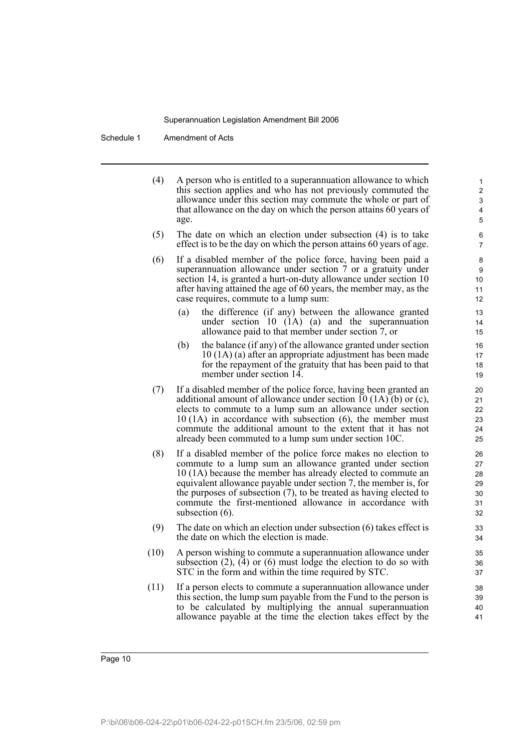Schedule 1 Amendment of Acts

(4) A person who is entitled to a superannuation allowance to which this section applies and who has not previously commuted the allowance under this section may commute the whole or part of that allowance on the day on which the person attains 60 years of age.

- (5) The date on which an election under subsection (4) is to take effect is to be the day on which the person attains 60 years of age.
- (6) If a disabled member of the police force, having been paid a superannuation allowance under section 7 or a gratuity under section 14, is granted a hurt-on-duty allowance under section 10 after having attained the age of 60 years, the member may, as the case requires, commute to a lump sum:
	- (a) the difference (if any) between the allowance granted under section 10 (1A) (a) and the superannuation allowance paid to that member under section 7, or
	- (b) the balance (if any) of the allowance granted under section 10 (1A) (a) after an appropriate adjustment has been made for the repayment of the gratuity that has been paid to that member under section 14.
- (7) If a disabled member of the police force, having been granted an additional amount of allowance under section 10 (1A) (b) or (c), elects to commute to a lump sum an allowance under section 10 (1A) in accordance with subsection (6), the member must commute the additional amount to the extent that it has not already been commuted to a lump sum under section 10C.
- (8) If a disabled member of the police force makes no election to commute to a lump sum an allowance granted under section 10 (1A) because the member has already elected to commute an equivalent allowance payable under section 7, the member is, for the purposes of subsection (7), to be treated as having elected to commute the first-mentioned allowance in accordance with subsection  $(6)$ .
- (9) The date on which an election under subsection (6) takes effect is the date on which the election is made.
- (10) A person wishing to commute a superannuation allowance under subsection  $(2)$ ,  $(4)$  or  $(6)$  must lodge the election to do so with STC in the form and within the time required by STC.
- (11) If a person elects to commute a superannuation allowance under this section, the lump sum payable from the Fund to the person is to be calculated by multiplying the annual superannuation allowance payable at the time the election takes effect by the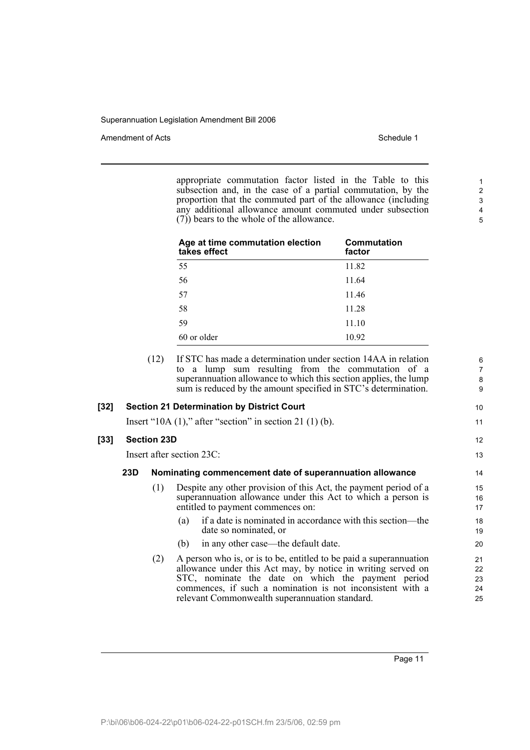Amendment of Acts **Amendment of Acts** Schedule 1

appropriate commutation factor listed in the Table to this subsection and, in the case of a partial commutation, by the proportion that the commuted part of the allowance (including any additional allowance amount commuted under subsection (7)) bears to the whole of the allowance.

| Age at time commutation election<br>takes effect | <b>Commutation</b><br>factor |
|--------------------------------------------------|------------------------------|
| 55                                               | 11.82                        |
| 56                                               | 11.64                        |
| 57                                               | 11.46                        |
| 58                                               | 11.28                        |
| 59                                               | 11.10                        |
| 60 or older                                      | 10.92                        |

(12) If STC has made a determination under section 14AA in relation to a lump sum resulting from the commutation of a superannuation allowance to which this section applies, the lump sum is reduced by the amount specified in STC's determination.

#### **[32] Section 21 Determination by District Court**

Insert "10A  $(1)$ ," after "section" in section 21 $(1)$  $(b)$ .

#### **[33] Section 23D**

Insert after section 23C:

#### **23D Nominating commencement date of superannuation allowance**

- (1) Despite any other provision of this Act, the payment period of a superannuation allowance under this Act to which a person is entitled to payment commences on:
	- (a) if a date is nominated in accordance with this section—the date so nominated, or
	- (b) in any other case—the default date.
- (2) A person who is, or is to be, entitled to be paid a superannuation allowance under this Act may, by notice in writing served on STC, nominate the date on which the payment period commences, if such a nomination is not inconsistent with a relevant Commonwealth superannuation standard.

Page 11

12 13

1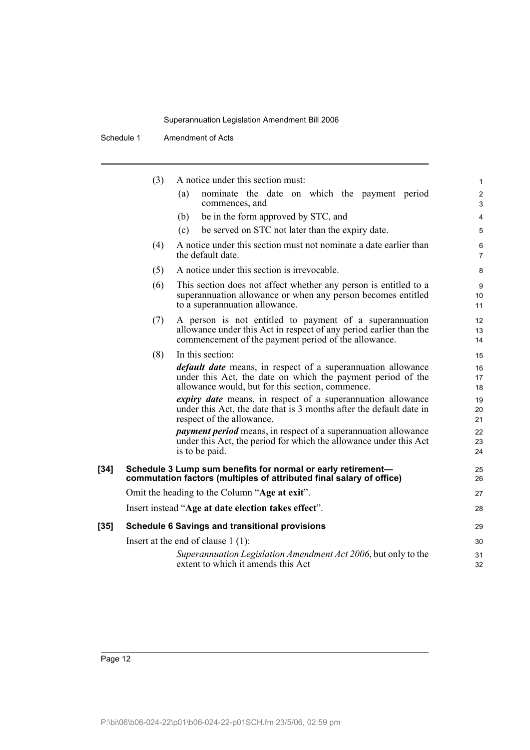| (3) | A notice under this section must:                                                                                                                                                      | 1                                                                                                                                                                                                                                                                                                                                             |
|-----|----------------------------------------------------------------------------------------------------------------------------------------------------------------------------------------|-----------------------------------------------------------------------------------------------------------------------------------------------------------------------------------------------------------------------------------------------------------------------------------------------------------------------------------------------|
|     | nominate the date on which the payment period<br>(a)<br>commences, and                                                                                                                 | 2<br>3                                                                                                                                                                                                                                                                                                                                        |
|     | be in the form approved by STC, and<br>(b)                                                                                                                                             | 4                                                                                                                                                                                                                                                                                                                                             |
|     | be served on STC not later than the expiry date.<br>(c)                                                                                                                                | 5                                                                                                                                                                                                                                                                                                                                             |
| (4) | A notice under this section must not nominate a date earlier than<br>the default date.                                                                                                 | 6<br>$\overline{7}$                                                                                                                                                                                                                                                                                                                           |
| (5) | A notice under this section is irrevocable.                                                                                                                                            | 8                                                                                                                                                                                                                                                                                                                                             |
| (6) | This section does not affect whether any person is entitled to a<br>superannuation allowance or when any person becomes entitled<br>to a superannuation allowance.                     | 9<br>10<br>11                                                                                                                                                                                                                                                                                                                                 |
| (7) | A person is not entitled to payment of a superannuation<br>allowance under this Act in respect of any period earlier than the<br>commencement of the payment period of the allowance.  | 12<br>13<br>14                                                                                                                                                                                                                                                                                                                                |
| (8) | In this section:                                                                                                                                                                       | 15                                                                                                                                                                                                                                                                                                                                            |
|     | <i>default date</i> means, in respect of a superannuation allowance<br>under this Act, the date on which the payment period of the<br>allowance would, but for this section, commence. | 16<br>17<br>18                                                                                                                                                                                                                                                                                                                                |
|     | expiry date means, in respect of a superannuation allowance<br>under this Act, the date that is 3 months after the default date in<br>respect of the allowance.                        | 19<br>20<br>21                                                                                                                                                                                                                                                                                                                                |
|     | <i>payment period</i> means, in respect of a superannuation allowance<br>under this Act, the period for which the allowance under this Act<br>is to be paid.                           | 22<br>23<br>24                                                                                                                                                                                                                                                                                                                                |
|     |                                                                                                                                                                                        | 25<br>26                                                                                                                                                                                                                                                                                                                                      |
|     |                                                                                                                                                                                        | 27                                                                                                                                                                                                                                                                                                                                            |
|     |                                                                                                                                                                                        | 28                                                                                                                                                                                                                                                                                                                                            |
|     |                                                                                                                                                                                        | 29                                                                                                                                                                                                                                                                                                                                            |
|     |                                                                                                                                                                                        | 30                                                                                                                                                                                                                                                                                                                                            |
|     | Superannuation Legislation Amendment Act 2006, but only to the<br>extent to which it amends this Act                                                                                   | 31<br>32                                                                                                                                                                                                                                                                                                                                      |
|     |                                                                                                                                                                                        | Schedule 3 Lump sum benefits for normal or early retirement-<br>commutation factors (multiples of attributed final salary of office)<br>Omit the heading to the Column "Age at exit".<br>Insert instead "Age at date election takes effect".<br><b>Schedule 6 Savings and transitional provisions</b><br>Insert at the end of clause $1(1)$ : |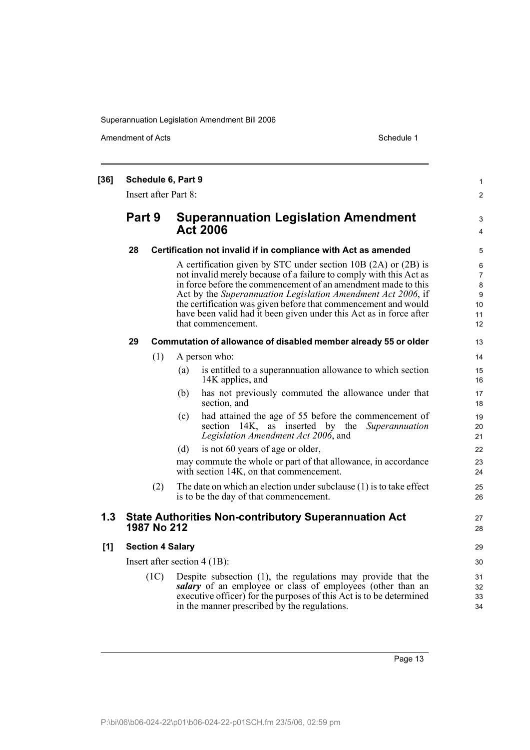Amendment of Acts Schedule 1

| [36] |                         |      | Schedule 6, Part 9                                                                                                                                                                                                                                                                                                                      | 1                                         |
|------|-------------------------|------|-----------------------------------------------------------------------------------------------------------------------------------------------------------------------------------------------------------------------------------------------------------------------------------------------------------------------------------------|-------------------------------------------|
|      | Insert after Part 8:    |      |                                                                                                                                                                                                                                                                                                                                         | $\overline{2}$                            |
|      |                         |      |                                                                                                                                                                                                                                                                                                                                         |                                           |
|      | Part 9                  |      | <b>Superannuation Legislation Amendment</b>                                                                                                                                                                                                                                                                                             | 3                                         |
|      |                         |      | <b>Act 2006</b>                                                                                                                                                                                                                                                                                                                         | 4                                         |
|      | 28                      |      | Certification not invalid if in compliance with Act as amended                                                                                                                                                                                                                                                                          | 5                                         |
|      |                         |      | A certification given by STC under section 10B (2A) or (2B) is<br>not invalid merely because of a failure to comply with this Act as<br>in force before the commencement of an amendment made to this<br>Act by the Superannuation Legislation Amendment Act 2006, if<br>the certification was given before that commencement and would | 6<br>$\overline{7}$<br>$\bf 8$<br>9<br>10 |
|      |                         |      | have been valid had it been given under this Act as in force after<br>that commencement.                                                                                                                                                                                                                                                | 11<br>12 <sup>2</sup>                     |
|      | 29                      |      | Commutation of allowance of disabled member already 55 or older                                                                                                                                                                                                                                                                         | 13                                        |
|      |                         | (1)  | A person who:                                                                                                                                                                                                                                                                                                                           | 14                                        |
|      |                         |      | is entitled to a superannuation allowance to which section<br>(a)<br>14K applies, and                                                                                                                                                                                                                                                   | 15<br>16                                  |
|      |                         |      | has not previously commuted the allowance under that<br>(b)<br>section, and                                                                                                                                                                                                                                                             | 17<br>18                                  |
|      |                         |      | had attained the age of 55 before the commencement of<br>(c)<br>section 14K, as inserted by the<br>Superannuation<br>Legislation Amendment Act 2006, and                                                                                                                                                                                | 19<br>20<br>21                            |
|      |                         |      | is not 60 years of age or older,<br>(d)                                                                                                                                                                                                                                                                                                 | 22                                        |
|      |                         |      | may commute the whole or part of that allowance, in accordance<br>with section 14K, on that commencement.                                                                                                                                                                                                                               | 23<br>24                                  |
|      |                         | (2)  | The date on which an election under subclause $(1)$ is to take effect<br>is to be the day of that commencement.                                                                                                                                                                                                                         | 25<br>26                                  |
| 1.3  | 1987 No 212             |      | <b>State Authorities Non-contributory Superannuation Act</b>                                                                                                                                                                                                                                                                            | 27<br>28                                  |
| [1]  | <b>Section 4 Salary</b> |      |                                                                                                                                                                                                                                                                                                                                         | 29                                        |
|      |                         |      | Insert after section $4 (1B)$ :                                                                                                                                                                                                                                                                                                         | 30                                        |
|      |                         | (1C) | Despite subsection (1), the regulations may provide that the<br>salary of an employee or class of employees (other than an<br>executive officer) for the purposes of this Act is to be determined<br>in the manner prescribed by the regulations.                                                                                       | 31<br>32<br>33<br>34                      |
|      |                         |      |                                                                                                                                                                                                                                                                                                                                         |                                           |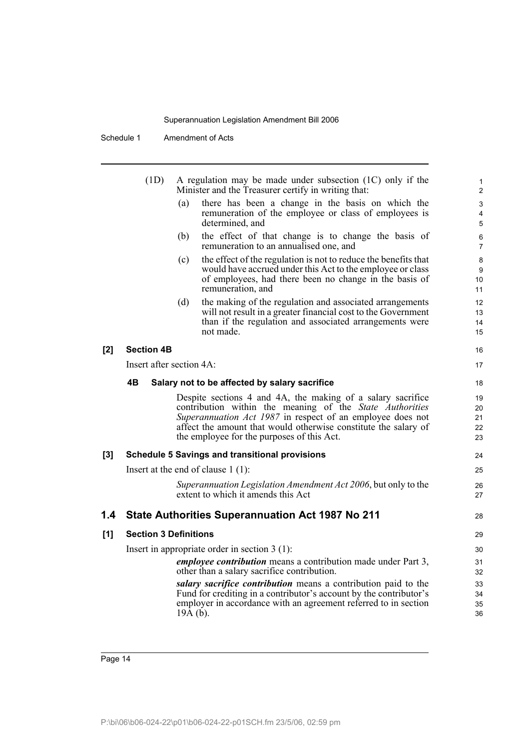|     | (1D)                         |            | A regulation may be made under subsection (1C) only if the<br>Minister and the Treasurer certify in writing that:                                                                                                                                                                                      | 1<br>$\overline{c}$        |
|-----|------------------------------|------------|--------------------------------------------------------------------------------------------------------------------------------------------------------------------------------------------------------------------------------------------------------------------------------------------------------|----------------------------|
|     |                              | (a)        | there has been a change in the basis on which the<br>remuneration of the employee or class of employees is<br>determined, and                                                                                                                                                                          | 3<br>4<br>5                |
|     |                              | (b)        | the effect of that change is to change the basis of<br>remuneration to an annualised one, and                                                                                                                                                                                                          | 6<br>$\overline{7}$        |
|     |                              | (c)        | the effect of the regulation is not to reduce the benefits that<br>would have accrued under this Act to the employee or class<br>of employees, had there been no change in the basis of<br>remuneration, and                                                                                           | 8<br>9<br>10<br>11         |
|     |                              | (d)        | the making of the regulation and associated arrangements<br>will not result in a greater financial cost to the Government<br>than if the regulation and associated arrangements were<br>not made.                                                                                                      | 12<br>13<br>14<br>15       |
| [2] | <b>Section 4B</b>            |            |                                                                                                                                                                                                                                                                                                        | 16                         |
|     | Insert after section 4A:     |            |                                                                                                                                                                                                                                                                                                        | 17                         |
|     | 4B                           |            | Salary not to be affected by salary sacrifice                                                                                                                                                                                                                                                          | 18                         |
|     |                              |            | Despite sections 4 and 4A, the making of a salary sacrifice<br>contribution within the meaning of the State Authorities<br>Superannuation Act 1987 in respect of an employee does not<br>affect the amount that would otherwise constitute the salary of<br>the employee for the purposes of this Act. | 19<br>20<br>21<br>22<br>23 |
| [3] |                              |            | <b>Schedule 5 Savings and transitional provisions</b>                                                                                                                                                                                                                                                  | 24                         |
|     |                              |            | Insert at the end of clause $1(1)$ :                                                                                                                                                                                                                                                                   | 25                         |
|     |                              |            | Superannuation Legislation Amendment Act 2006, but only to the<br>extent to which it amends this Act                                                                                                                                                                                                   | 26<br>27                   |
| 1.4 |                              |            | <b>State Authorities Superannuation Act 1987 No 211</b>                                                                                                                                                                                                                                                | 28                         |
| [1] | <b>Section 3 Definitions</b> |            |                                                                                                                                                                                                                                                                                                        | 29                         |
|     |                              |            | Insert in appropriate order in section $3(1)$ :                                                                                                                                                                                                                                                        | 30                         |
|     |                              |            | <i>employee contribution</i> means a contribution made under Part 3,<br>other than a salary sacrifice contribution.                                                                                                                                                                                    | 31<br>32                   |
|     |                              | $19A(b)$ . | salary sacrifice contribution means a contribution paid to the<br>Fund for crediting in a contributor's account by the contributor's<br>employer in accordance with an agreement referred to in section                                                                                                | 33<br>34<br>35<br>36       |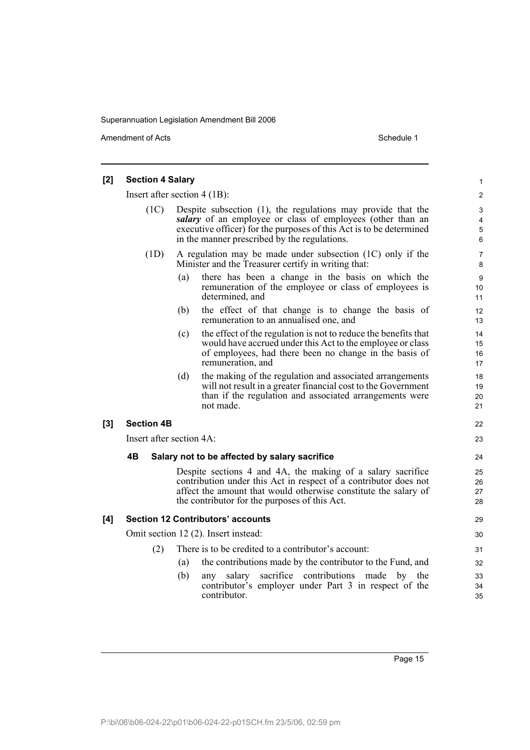Amendment of Acts Schedule 1

| $[2]$ |                                                     | <b>Section 4 Salary</b>  |                                                                                                                                                                                                                                                      | 1                    |
|-------|-----------------------------------------------------|--------------------------|------------------------------------------------------------------------------------------------------------------------------------------------------------------------------------------------------------------------------------------------------|----------------------|
|       |                                                     |                          | Insert after section $4 (1B)$ :                                                                                                                                                                                                                      | 2                    |
|       |                                                     | (1C)                     | Despite subsection $(1)$ , the regulations may provide that the<br>salary of an employee or class of employees (other than an<br>executive officer) for the purposes of this Act is to be determined<br>in the manner prescribed by the regulations. | 3<br>4<br>5<br>6     |
|       |                                                     | (1D)                     | A regulation may be made under subsection $(1C)$ only if the<br>Minister and the Treasurer certify in writing that:                                                                                                                                  | 7<br>8               |
|       |                                                     | (a)                      | there has been a change in the basis on which the<br>remuneration of the employee or class of employees is<br>determined, and                                                                                                                        | 9<br>10<br>11        |
|       |                                                     | (b)                      | the effect of that change is to change the basis of<br>remuneration to an annualised one, and                                                                                                                                                        | 12<br>13             |
|       |                                                     | (c)                      | the effect of the regulation is not to reduce the benefits that<br>would have accrued under this Act to the employee or class<br>of employees, had there been no change in the basis of<br>remuneration, and                                         | 14<br>15<br>16<br>17 |
|       |                                                     | (d)                      | the making of the regulation and associated arrangements<br>will not result in a greater financial cost to the Government<br>than if the regulation and associated arrangements were<br>not made.                                                    | 18<br>19<br>20<br>21 |
| [3]   | <b>Section 4B</b>                                   |                          |                                                                                                                                                                                                                                                      | 22                   |
|       |                                                     | Insert after section 4A: |                                                                                                                                                                                                                                                      | 23                   |
|       | 4B<br>Salary not to be affected by salary sacrifice |                          |                                                                                                                                                                                                                                                      |                      |
|       |                                                     |                          | Despite sections 4 and 4A, the making of a salary sacrifice<br>contribution under this Act in respect of a contributor does not<br>affect the amount that would otherwise constitute the salary of<br>the contributor for the purposes of this Act.  | 25<br>26<br>27<br>28 |
| [4]   |                                                     |                          | <b>Section 12 Contributors' accounts</b>                                                                                                                                                                                                             | 29                   |
|       |                                                     |                          | Omit section 12 (2). Insert instead:                                                                                                                                                                                                                 | 30                   |
|       |                                                     | (2)                      | There is to be credited to a contributor's account:                                                                                                                                                                                                  | 31                   |
|       |                                                     | (a)                      | the contributions made by the contributor to the Fund, and                                                                                                                                                                                           | 32                   |
|       |                                                     | (b)                      | sacrifice contributions made<br>salary<br>by the<br>any<br>contributor's employer under Part 3 in respect of the<br>contributor.                                                                                                                     | 33<br>34<br>35       |
|       |                                                     |                          |                                                                                                                                                                                                                                                      |                      |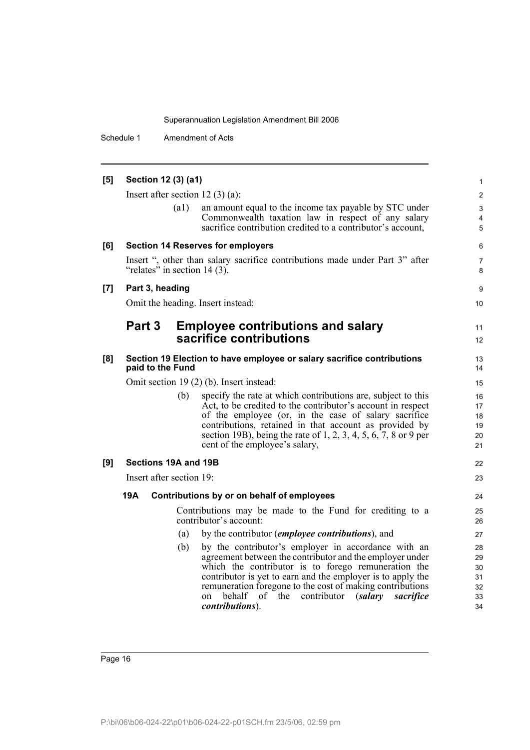| [5] | Section 12 (3) (a1)      |                    |                                                                                                                                                                                                                                                                                                                                                                                                        | $\mathbf{1}$                           |
|-----|--------------------------|--------------------|--------------------------------------------------------------------------------------------------------------------------------------------------------------------------------------------------------------------------------------------------------------------------------------------------------------------------------------------------------------------------------------------------------|----------------------------------------|
|     |                          |                    | Insert after section 12 $(3)$ $(a)$ :                                                                                                                                                                                                                                                                                                                                                                  | $\overline{2}$                         |
|     |                          | $\left( a1\right)$ | an amount equal to the income tax payable by STC under<br>Commonwealth taxation law in respect of any salary<br>sacrifice contribution credited to a contributor's account,                                                                                                                                                                                                                            | 3<br>$\overline{4}$<br>5               |
| [6] |                          |                    | <b>Section 14 Reserves for employers</b>                                                                                                                                                                                                                                                                                                                                                               | 6                                      |
|     |                          |                    | Insert ", other than salary sacrifice contributions made under Part 3" after<br>"relates" in section $14(3)$ .                                                                                                                                                                                                                                                                                         | 7<br>8                                 |
| [7] | Part 3, heading          |                    |                                                                                                                                                                                                                                                                                                                                                                                                        | 9                                      |
|     |                          |                    | Omit the heading. Insert instead:                                                                                                                                                                                                                                                                                                                                                                      | 10                                     |
|     | Part 3                   |                    | <b>Employee contributions and salary</b><br>sacrifice contributions                                                                                                                                                                                                                                                                                                                                    | 11<br>12                               |
| [8] | paid to the Fund         |                    | Section 19 Election to have employee or salary sacrifice contributions                                                                                                                                                                                                                                                                                                                                 | 13<br>14                               |
|     |                          |                    | Omit section 19 (2) (b). Insert instead:                                                                                                                                                                                                                                                                                                                                                               | 15                                     |
|     |                          | (b)                | specify the rate at which contributions are, subject to this<br>Act, to be credited to the contributor's account in respect<br>of the employee (or, in the case of salary sacrifice<br>contributions, retained in that account as provided by<br>section 19B), being the rate of 1, 2, 3, 4, 5, 6, 7, 8 or 9 per<br>cent of the employee's salary,                                                     | 16<br>17<br>18<br>19<br>20<br>21       |
| [9] | Sections 19A and 19B     |                    |                                                                                                                                                                                                                                                                                                                                                                                                        | 22                                     |
|     | Insert after section 19: |                    |                                                                                                                                                                                                                                                                                                                                                                                                        | 23                                     |
|     | <b>19A</b>               |                    | Contributions by or on behalf of employees                                                                                                                                                                                                                                                                                                                                                             | 24                                     |
|     |                          |                    | Contributions may be made to the Fund for crediting to a<br>contributor's account:                                                                                                                                                                                                                                                                                                                     | 25<br>26                               |
|     |                          | (a)                | by the contributor ( <i>employee contributions</i> ), and                                                                                                                                                                                                                                                                                                                                              | 27                                     |
|     |                          | (b)                | by the contributor's employer in accordance with an<br>agreement between the contributor and the employer under<br>which the contributor is to forego remuneration the<br>contributor is yet to earn and the employer is to apply the<br>remuneration foregone to the cost of making contributions<br>behalf<br>contributor<br>of the<br><i>(salary)</i><br>sacrifice<br>on<br><i>contributions</i> ). | 28<br>29<br>30<br>31<br>32<br>33<br>34 |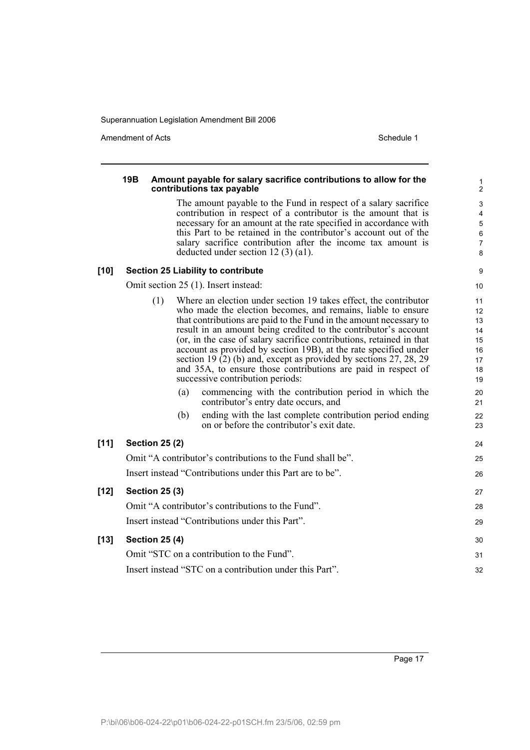Amendment of Acts **Schedule 1** and the set of Acts Schedule 1

#### **19B Amount payable for salary sacrifice contributions to allow for the contributions tax payable**

The amount payable to the Fund in respect of a salary sacrifice contribution in respect of a contributor is the amount that is necessary for an amount at the rate specified in accordance with this Part to be retained in the contributor's account out of the salary sacrifice contribution after the income tax amount is deducted under section 12 (3) (a1).

#### **[10] Section 25 Liability to contribute**

Omit section 25 (1). Insert instead:

- (1) Where an election under section 19 takes effect, the contributor who made the election becomes, and remains, liable to ensure that contributions are paid to the Fund in the amount necessary to result in an amount being credited to the contributor's account (or, in the case of salary sacrifice contributions, retained in that account as provided by section 19B), at the rate specified under section 19 (2) (b) and, except as provided by sections 27, 28, 29 and 35A, to ensure those contributions are paid in respect of successive contribution periods:
	- (a) commencing with the contribution period in which the contributor's entry date occurs, and
	- (b) ending with the last complete contribution period ending on or before the contributor's exit date.

| [11]   | <b>Section 25 (2)</b>                                      | 24 |
|--------|------------------------------------------------------------|----|
|        | Omit "A contributor's contributions to the Fund shall be". | 25 |
|        | Insert instead "Contributions under this Part are to be".  | 26 |
| $[12]$ | <b>Section 25 (3)</b>                                      | 27 |
|        | Omit "A contributor's contributions to the Fund".          | 28 |
|        | Insert instead "Contributions under this Part".            | 29 |
| $[13]$ | <b>Section 25 (4)</b>                                      | 30 |
|        | Omit "STC on a contribution to the Fund".                  | 31 |
|        | Insert instead "STC on a contribution under this Part".    | 32 |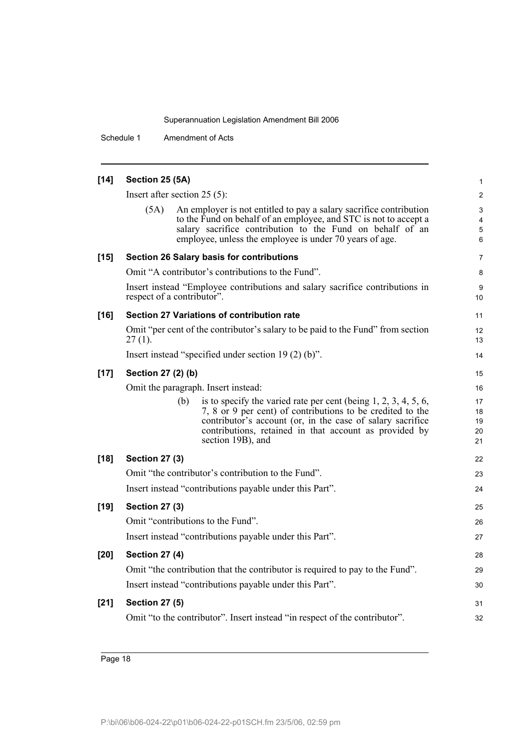| $[14]$ | Section 25 (5A)                                                                                                                                                                                                                                                                      | 1                          |
|--------|--------------------------------------------------------------------------------------------------------------------------------------------------------------------------------------------------------------------------------------------------------------------------------------|----------------------------|
|        | Insert after section $25(5)$ :                                                                                                                                                                                                                                                       | $\overline{\mathbf{c}}$    |
|        | An employer is not entitled to pay a salary sacrifice contribution<br>(5A)<br>to the Fund on behalf of an employee, and STC is not to accept a<br>salary sacrifice contribution to the Fund on behalf of an<br>employee, unless the employee is under 70 years of age.               | 3<br>4<br>5<br>6           |
| $[15]$ | Section 26 Salary basis for contributions                                                                                                                                                                                                                                            | 7                          |
|        | Omit "A contributor's contributions to the Fund".                                                                                                                                                                                                                                    | 8                          |
|        | Insert instead "Employee contributions and salary sacrifice contributions in<br>respect of a contributor".                                                                                                                                                                           | 9<br>10                    |
| [16]   | Section 27 Variations of contribution rate                                                                                                                                                                                                                                           | 11                         |
|        | Omit "per cent of the contributor's salary to be paid to the Fund" from section<br>$27(1)$ .                                                                                                                                                                                         | 12<br>13                   |
|        | Insert instead "specified under section $19(2)(b)$ ".                                                                                                                                                                                                                                | 14                         |
| $[17]$ | Section 27 (2) (b)                                                                                                                                                                                                                                                                   | 15                         |
|        | Omit the paragraph. Insert instead:                                                                                                                                                                                                                                                  | 16                         |
|        | (b)<br>is to specify the varied rate per cent (being $1, 2, 3, 4, 5, 6$ ,<br>7, 8 or 9 per cent) of contributions to be credited to the<br>contributor's account (or, in the case of salary sacrifice<br>contributions, retained in that account as provided by<br>section 19B), and | 17<br>18<br>19<br>20<br>21 |
| [18]   | <b>Section 27 (3)</b>                                                                                                                                                                                                                                                                | 22                         |
|        | Omit "the contributor's contribution to the Fund".                                                                                                                                                                                                                                   | 23                         |
|        | Insert instead "contributions payable under this Part".                                                                                                                                                                                                                              | 24                         |
| $[19]$ | <b>Section 27 (3)</b>                                                                                                                                                                                                                                                                | 25                         |
|        | Omit "contributions to the Fund".                                                                                                                                                                                                                                                    | 26                         |
|        | Insert instead "contributions payable under this Part".                                                                                                                                                                                                                              | 27                         |
| $[20]$ | <b>Section 27 (4)</b>                                                                                                                                                                                                                                                                | 28                         |
|        | Omit "the contribution that the contributor is required to pay to the Fund".                                                                                                                                                                                                         | 29                         |
|        | Insert instead "contributions payable under this Part".                                                                                                                                                                                                                              | 30                         |
| $[21]$ | <b>Section 27 (5)</b>                                                                                                                                                                                                                                                                | 31                         |
|        | Omit "to the contributor". Insert instead "in respect of the contributor".                                                                                                                                                                                                           | 32                         |
|        |                                                                                                                                                                                                                                                                                      |                            |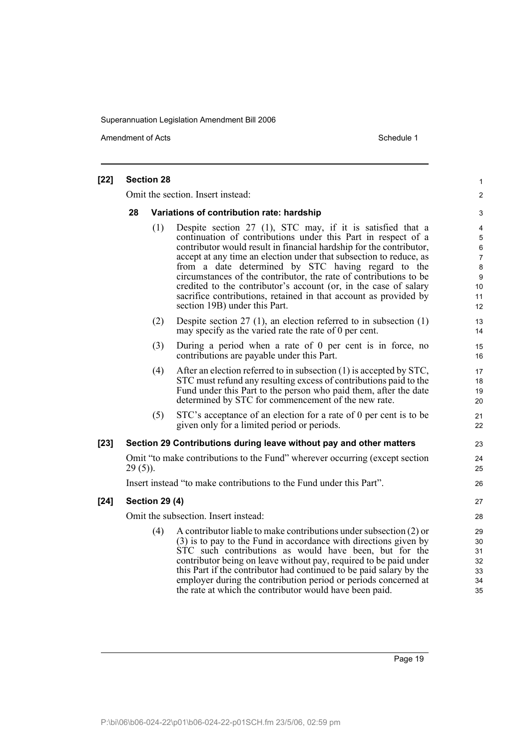Amendment of Acts Schedule 1

| $[22]$ | <b>Section 28</b>                                                                                                                                                                                                                                      |                       |                                                                                                                                                                                                                                                                                                                                                                                                                                                                                                                                                                              |                                                                        |  |
|--------|--------------------------------------------------------------------------------------------------------------------------------------------------------------------------------------------------------------------------------------------------------|-----------------------|------------------------------------------------------------------------------------------------------------------------------------------------------------------------------------------------------------------------------------------------------------------------------------------------------------------------------------------------------------------------------------------------------------------------------------------------------------------------------------------------------------------------------------------------------------------------------|------------------------------------------------------------------------|--|
|        | Omit the section. Insert instead:                                                                                                                                                                                                                      |                       |                                                                                                                                                                                                                                                                                                                                                                                                                                                                                                                                                                              |                                                                        |  |
|        | 28                                                                                                                                                                                                                                                     |                       | Variations of contribution rate: hardship                                                                                                                                                                                                                                                                                                                                                                                                                                                                                                                                    |                                                                        |  |
|        |                                                                                                                                                                                                                                                        | (1)                   | Despite section 27 (1), STC may, if it is satisfied that a<br>continuation of contributions under this Part in respect of a<br>contributor would result in financial hardship for the contributor,<br>accept at any time an election under that subsection to reduce, as<br>from a date determined by STC having regard to the<br>circumstances of the contributor, the rate of contributions to be<br>credited to the contributor's account (or, in the case of salary<br>sacrifice contributions, retained in that account as provided by<br>section 19B) under this Part. | 4<br>5<br>6<br>$\overline{7}$<br>8<br>9<br>10<br>11<br>12 <sup>°</sup> |  |
|        | Despite section 27 (1), an election referred to in subsection $(1)$<br>(2)<br>may specify as the varied rate the rate of 0 per cent.<br>During a period when a rate of 0 per cent is in force, no<br>(3)<br>contributions are payable under this Part. |                       |                                                                                                                                                                                                                                                                                                                                                                                                                                                                                                                                                                              | 13<br>14                                                               |  |
|        |                                                                                                                                                                                                                                                        |                       |                                                                                                                                                                                                                                                                                                                                                                                                                                                                                                                                                                              | 15<br>16                                                               |  |
|        |                                                                                                                                                                                                                                                        | (4)                   | After an election referred to in subsection (1) is accepted by STC,<br>STC must refund any resulting excess of contributions paid to the<br>Fund under this Part to the person who paid them, after the date<br>determined by STC for commencement of the new rate.                                                                                                                                                                                                                                                                                                          | 17<br>18<br>19<br>20                                                   |  |
|        |                                                                                                                                                                                                                                                        | (5)                   | STC's acceptance of an election for a rate of 0 per cent is to be<br>given only for a limited period or periods.                                                                                                                                                                                                                                                                                                                                                                                                                                                             | 21<br>22                                                               |  |
| $[23]$ |                                                                                                                                                                                                                                                        |                       | Section 29 Contributions during leave without pay and other matters                                                                                                                                                                                                                                                                                                                                                                                                                                                                                                          | 23                                                                     |  |
|        | $29(5)$ ).                                                                                                                                                                                                                                             |                       | Omit "to make contributions to the Fund" wherever occurring (except section                                                                                                                                                                                                                                                                                                                                                                                                                                                                                                  | 24<br>25                                                               |  |
|        |                                                                                                                                                                                                                                                        |                       | Insert instead "to make contributions to the Fund under this Part".                                                                                                                                                                                                                                                                                                                                                                                                                                                                                                          | 26                                                                     |  |
| $[24]$ |                                                                                                                                                                                                                                                        | <b>Section 29 (4)</b> |                                                                                                                                                                                                                                                                                                                                                                                                                                                                                                                                                                              | 27                                                                     |  |
|        | Omit the subsection. Insert instead:                                                                                                                                                                                                                   |                       |                                                                                                                                                                                                                                                                                                                                                                                                                                                                                                                                                                              |                                                                        |  |
|        |                                                                                                                                                                                                                                                        | (4)                   | A contributor liable to make contributions under subsection (2) or<br>(3) is to pay to the Fund in accordance with directions given by<br>STC such contributions as would have been, but for the<br>contributor being on leave without pay, required to be paid under<br>this Part if the contributor had continued to be paid salary by the<br>employer during the contribution period or periods concerned at<br>the rate at which the contributor would have been paid.                                                                                                   | 29<br>30<br>31<br>32<br>33<br>34<br>35                                 |  |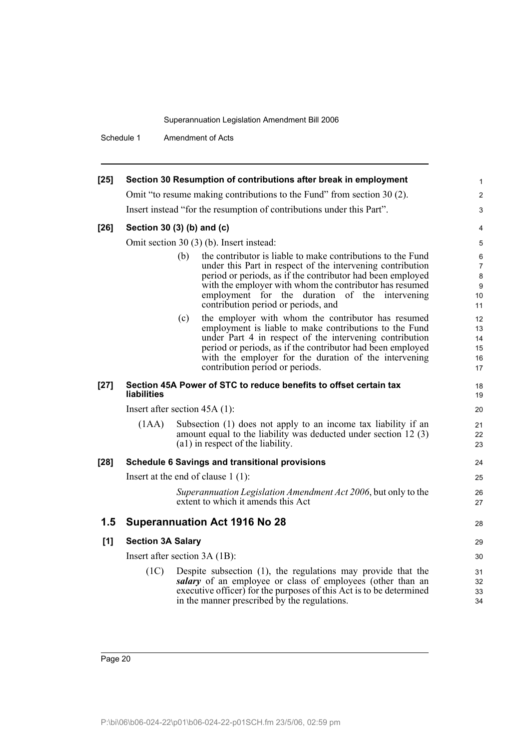| $[25]$ |                          | Section 30 Resumption of contributions after break in employment                                                                                                                                                                                                                                                                                      | $\mathbf{1}$                     |
|--------|--------------------------|-------------------------------------------------------------------------------------------------------------------------------------------------------------------------------------------------------------------------------------------------------------------------------------------------------------------------------------------------------|----------------------------------|
|        |                          | Omit "to resume making contributions to the Fund" from section 30 (2).                                                                                                                                                                                                                                                                                | $\overline{2}$                   |
|        |                          | Insert instead "for the resumption of contributions under this Part".                                                                                                                                                                                                                                                                                 | 3                                |
| $[26]$ |                          | Section 30 (3) (b) and (c)                                                                                                                                                                                                                                                                                                                            | 4                                |
|        |                          | Omit section 30 (3) (b). Insert instead:                                                                                                                                                                                                                                                                                                              | 5                                |
|        |                          | the contributor is liable to make contributions to the Fund<br>(b)<br>under this Part in respect of the intervening contribution<br>period or periods, as if the contributor had been employed<br>with the employer with whom the contributor has resumed<br>employment for the duration<br>of the intervening<br>contribution period or periods, and | 6<br>7<br>8<br>9<br>10<br>11     |
|        |                          | the employer with whom the contributor has resumed<br>(c)<br>employment is liable to make contributions to the Fund<br>under Part 4 in respect of the intervening contribution<br>period or periods, as if the contributor had been employed<br>with the employer for the duration of the intervening<br>contribution period or periods.              | 12<br>13<br>14<br>15<br>16<br>17 |
| $[27]$ | <b>liabilities</b>       | Section 45A Power of STC to reduce benefits to offset certain tax                                                                                                                                                                                                                                                                                     | 18<br>19                         |
|        |                          | Insert after section $45A(1)$ :                                                                                                                                                                                                                                                                                                                       | 20                               |
|        | (1AA)                    | Subsection (1) does not apply to an income tax liability if an<br>amount equal to the liability was deducted under section 12 (3)<br>(a1) in respect of the liability.                                                                                                                                                                                | 21<br>22<br>23                   |
| $[28]$ |                          | <b>Schedule 6 Savings and transitional provisions</b>                                                                                                                                                                                                                                                                                                 | 24                               |
|        |                          | Insert at the end of clause $1(1)$ :                                                                                                                                                                                                                                                                                                                  | 25                               |
|        |                          | Superannuation Legislation Amendment Act 2006, but only to the<br>extent to which it amends this Act                                                                                                                                                                                                                                                  | 26<br>27                         |
| 1.5    |                          | <b>Superannuation Act 1916 No 28</b>                                                                                                                                                                                                                                                                                                                  | 28                               |
| [1]    | <b>Section 3A Salary</b> |                                                                                                                                                                                                                                                                                                                                                       | 29                               |
|        |                          | Insert after section 3A (1B):                                                                                                                                                                                                                                                                                                                         | 30                               |
|        | (1C)                     | Despite subsection (1), the regulations may provide that the<br>salary of an employee or class of employees (other than an<br>executive officer) for the purposes of this Act is to be determined<br>in the manner prescribed by the regulations.                                                                                                     | 31<br>32<br>33<br>34             |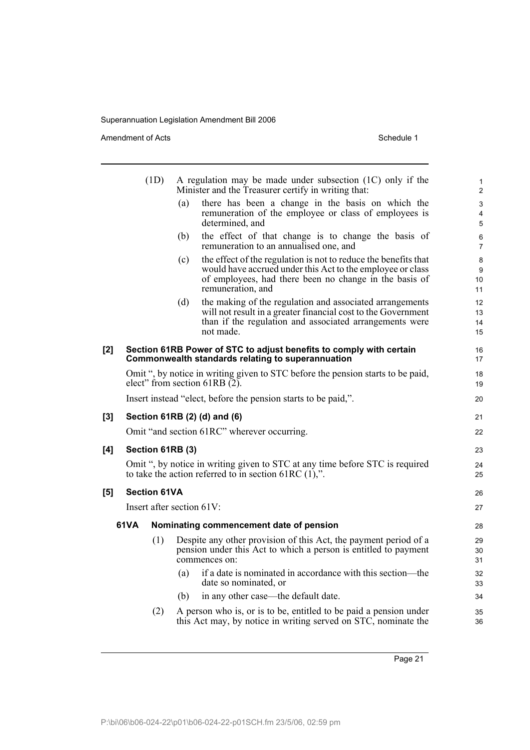Amendment of Acts Schedule 1

|     |      | (1D)                         |     | A regulation may be made under subsection (1C) only if the<br>Minister and the Treasurer certify in writing that:                                                                                            | 1<br>2               |
|-----|------|------------------------------|-----|--------------------------------------------------------------------------------------------------------------------------------------------------------------------------------------------------------------|----------------------|
|     |      |                              | (a) | there has been a change in the basis on which the<br>remuneration of the employee or class of employees is<br>determined, and                                                                                | 3<br>4<br>5          |
|     |      |                              | (b) | the effect of that change is to change the basis of<br>remuneration to an annualised one, and                                                                                                                | 6<br>7               |
|     |      |                              | (c) | the effect of the regulation is not to reduce the benefits that<br>would have accrued under this Act to the employee or class<br>of employees, had there been no change in the basis of<br>remuneration, and | 8<br>9<br>10<br>11   |
|     |      |                              | (d) | the making of the regulation and associated arrangements<br>will not result in a greater financial cost to the Government<br>than if the regulation and associated arrangements were<br>not made.            | 12<br>13<br>14<br>15 |
| [2] |      |                              |     | Section 61RB Power of STC to adjust benefits to comply with certain<br>Commonwealth standards relating to superannuation                                                                                     | 16<br>17             |
|     |      |                              |     | Omit ", by notice in writing given to STC before the pension starts to be paid,<br>elect" from section $61RB(2)$ .                                                                                           | 18<br>19             |
|     |      |                              |     | Insert instead "elect, before the pension starts to be paid,".                                                                                                                                               | 20                   |
| [3] |      |                              |     | Section 61RB (2) (d) and (6)                                                                                                                                                                                 | 21                   |
|     |      |                              |     | Omit "and section 61RC" wherever occurring.                                                                                                                                                                  | 22                   |
| [4] |      | Section 61RB (3)             |     |                                                                                                                                                                                                              | 23                   |
|     |      |                              |     | Omit ", by notice in writing given to STC at any time before STC is required<br>to take the action referred to in section 61RC $(1)$ ,".                                                                     | 24<br>25             |
| [5] |      | <b>Section 61VA</b>          |     |                                                                                                                                                                                                              | 26                   |
|     |      | Insert after section $61V$ : |     |                                                                                                                                                                                                              | 27                   |
|     | 61VA |                              |     | Nominating commencement date of pension                                                                                                                                                                      | 28                   |
|     |      | (1)                          |     | Despite any other provision of this Act, the payment period of a<br>pension under this Act to which a person is entitled to payment<br>commences on:                                                         | 29<br>30<br>31       |
|     |      |                              | (a) | if a date is nominated in accordance with this section—the<br>date so nominated, or                                                                                                                          | 32<br>33             |
|     |      |                              | (b) | in any other case—the default date.                                                                                                                                                                          | 34                   |
|     |      | (2)                          |     | A person who is, or is to be, entitled to be paid a pension under<br>this Act may, by notice in writing served on STC, nominate the                                                                          | 35<br>36             |
|     |      |                              |     |                                                                                                                                                                                                              |                      |